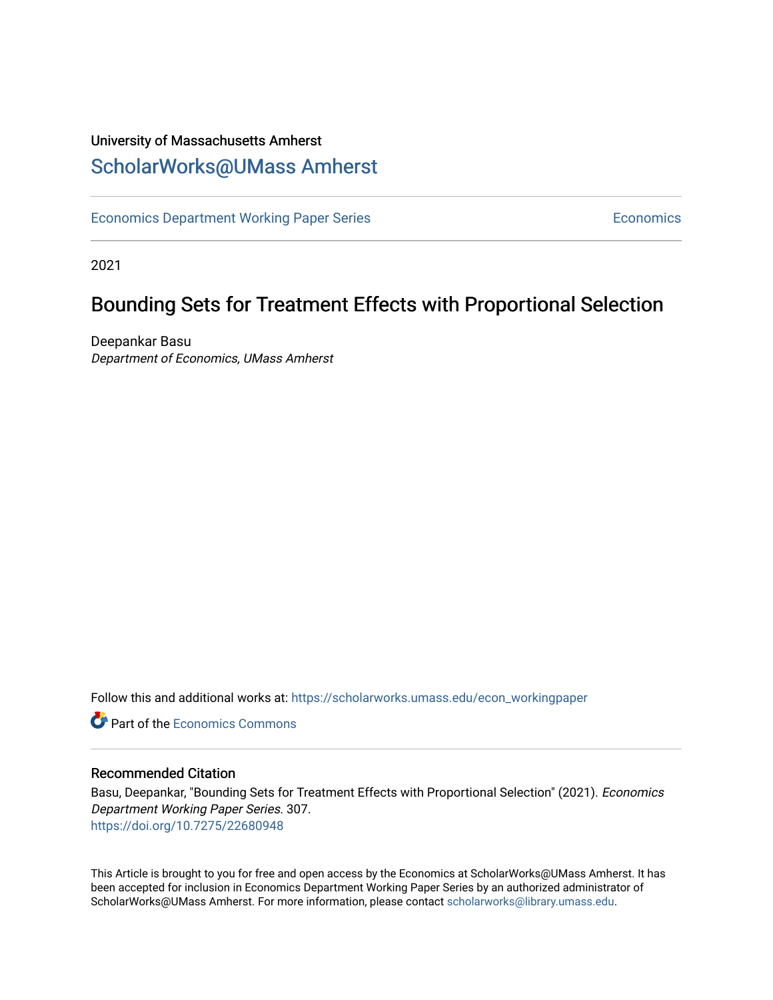## University of Massachusetts Amherst [ScholarWorks@UMass Amherst](https://scholarworks.umass.edu/)

[Economics Department Working Paper Series](https://scholarworks.umass.edu/econ_workingpaper) **Economics** Economics

2021

# Bounding Sets for Treatment Effects with Proportional Selection

Deepankar Basu Department of Economics, UMass Amherst

Follow this and additional works at: [https://scholarworks.umass.edu/econ\\_workingpaper](https://scholarworks.umass.edu/econ_workingpaper?utm_source=scholarworks.umass.edu%2Fecon_workingpaper%2F307&utm_medium=PDF&utm_campaign=PDFCoverPages) 

**C** Part of the [Economics Commons](http://network.bepress.com/hgg/discipline/340?utm_source=scholarworks.umass.edu%2Fecon_workingpaper%2F307&utm_medium=PDF&utm_campaign=PDFCoverPages)

### Recommended Citation

Basu, Deepankar, "Bounding Sets for Treatment Effects with Proportional Selection" (2021). Economics Department Working Paper Series. 307. <https://doi.org/10.7275/22680948>

This Article is brought to you for free and open access by the Economics at ScholarWorks@UMass Amherst. It has been accepted for inclusion in Economics Department Working Paper Series by an authorized administrator of ScholarWorks@UMass Amherst. For more information, please contact [scholarworks@library.umass.edu.](mailto:scholarworks@library.umass.edu)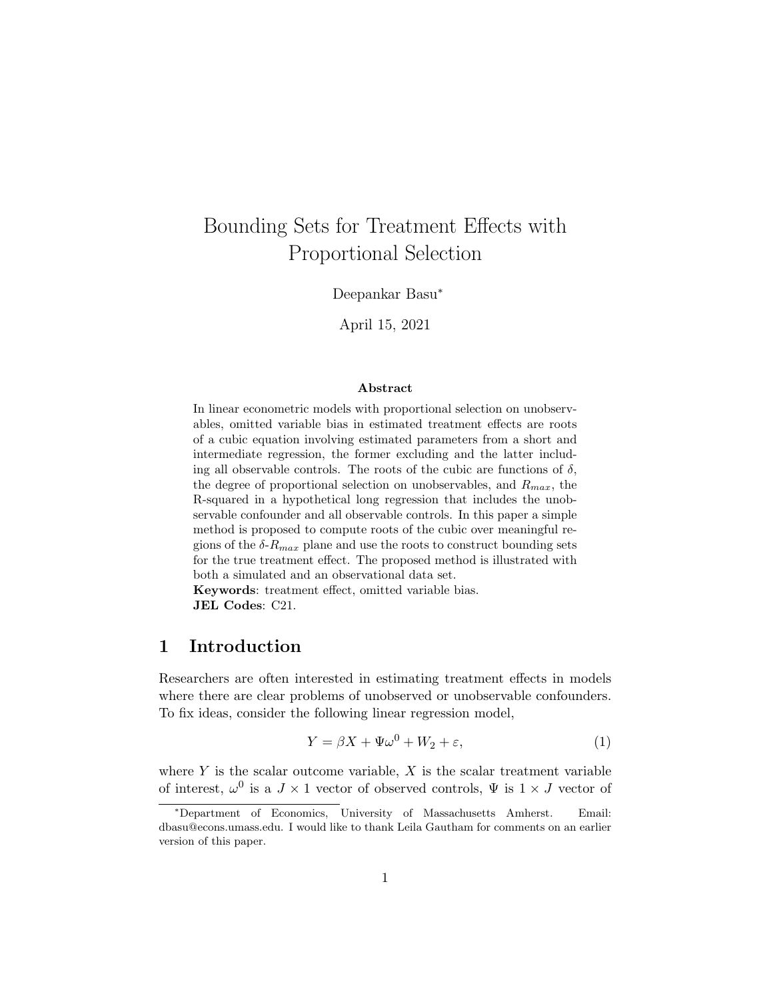# <span id="page-1-0"></span>Bounding Sets for Treatment Effects with Proportional Selection

Deepankar Basu<sup>∗</sup>

April 15, 2021

### Abstract

In linear econometric models with proportional selection on unobservables, omitted variable bias in estimated treatment effects are roots of a cubic equation involving estimated parameters from a short and intermediate regression, the former excluding and the latter including all observable controls. The roots of the cubic are functions of  $\delta$ , the degree of proportional selection on unobservables, and  $R_{max}$ , the R-squared in a hypothetical long regression that includes the unobservable confounder and all observable controls. In this paper a simple method is proposed to compute roots of the cubic over meaningful regions of the  $\delta$ - $R_{max}$  plane and use the roots to construct bounding sets for the true treatment effect. The proposed method is illustrated with both a simulated and an observational data set.

Keywords: treatment effect, omitted variable bias. JEL Codes: C21.

### 1 Introduction

Researchers are often interested in estimating treatment effects in models where there are clear problems of unobserved or unobservable confounders. To fix ideas, consider the following linear regression model,

$$
Y = \beta X + \Psi \omega^0 + W_2 + \varepsilon,\tag{1}
$$

where  $Y$  is the scalar outcome variable,  $X$  is the scalar treatment variable of interest,  $\omega^0$  is a  $J \times 1$  vector of observed controls,  $\Psi$  is  $1 \times J$  vector of

<sup>∗</sup>Department of Economics, University of Massachusetts Amherst. Email: dbasu@econs.umass.edu. I would like to thank Leila Gautham for comments on an earlier version of this paper.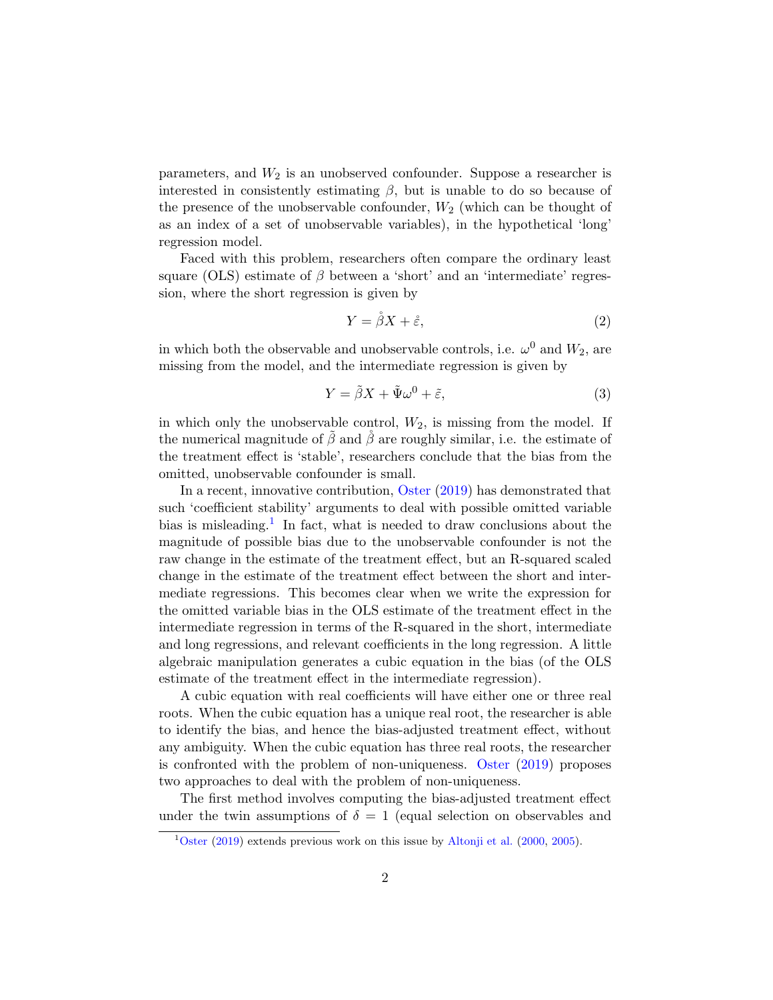parameters, and  $W_2$  is an unobserved confounder. Suppose a researcher is interested in consistently estimating  $\beta$ , but is unable to do so because of the presence of the unobservable confounder,  $W_2$  (which can be thought of as an index of a set of unobservable variables), in the hypothetical 'long' regression model.

Faced with this problem, researchers often compare the ordinary least square (OLS) estimate of  $\beta$  between a 'short' and an 'intermediate' regression, where the short regression is given by

$$
Y = \mathring{\beta}X + \mathring{\varepsilon},\tag{2}
$$

in which both the observable and unobservable controls, i.e.  $\omega^0$  and  $W_2$ , are missing from the model, and the intermediate regression is given by

$$
Y = \tilde{\beta}X + \tilde{\Psi}\omega^0 + \tilde{\varepsilon},\tag{3}
$$

in which only the unobservable control,  $W_2$ , is missing from the model. If the numerical magnitude of  $\tilde{\beta}$  and  $\tilde{\beta}$  are roughly similar, i.e. the estimate of the treatment effect is 'stable', researchers conclude that the bias from the omitted, unobservable confounder is small.

In a recent, innovative contribution, [Oster](#page-30-0) [\(2019\)](#page-30-0) has demonstrated that such 'coefficient stability' arguments to deal with possible omitted variable bias is misleading.<sup>[1](#page-1-0)</sup> In fact, what is needed to draw conclusions about the magnitude of possible bias due to the unobservable confounder is not the raw change in the estimate of the treatment effect, but an R-squared scaled change in the estimate of the treatment effect between the short and intermediate regressions. This becomes clear when we write the expression for the omitted variable bias in the OLS estimate of the treatment effect in the intermediate regression in terms of the R-squared in the short, intermediate and long regressions, and relevant coefficients in the long regression. A little algebraic manipulation generates a cubic equation in the bias (of the OLS estimate of the treatment effect in the intermediate regression).

A cubic equation with real coefficients will have either one or three real roots. When the cubic equation has a unique real root, the researcher is able to identify the bias, and hence the bias-adjusted treatment effect, without any ambiguity. When the cubic equation has three real roots, the researcher is confronted with the problem of non-uniqueness. [Oster](#page-30-0) [\(2019\)](#page-30-0) proposes two approaches to deal with the problem of non-uniqueness.

The first method involves computing the bias-adjusted treatment effect under the twin assumptions of  $\delta = 1$  (equal selection on observables and

 $1$ [Oster](#page-30-0) [\(2019\)](#page-30-0) extends previous work on this issue by [Altonji et al.](#page-29-0) [\(2000,](#page-29-0) [2005\)](#page-29-1).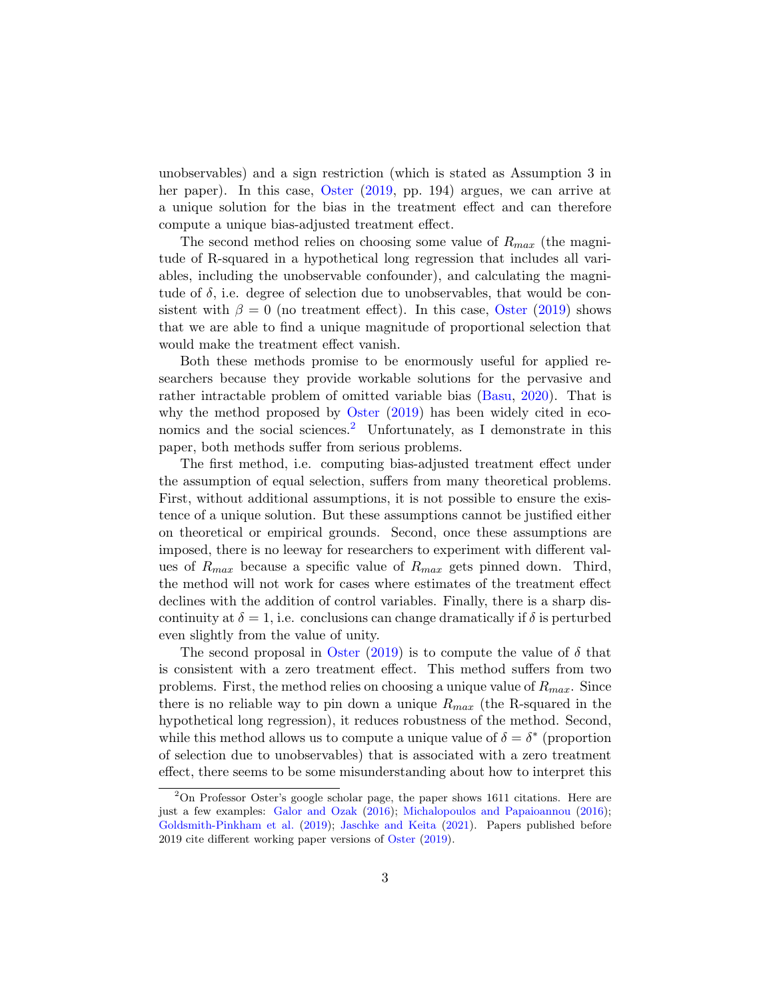unobservables) and a sign restriction (which is stated as Assumption 3 in her paper). In this case, [Oster](#page-30-0) [\(2019,](#page-30-0) pp. 194) argues, we can arrive at a unique solution for the bias in the treatment effect and can therefore compute a unique bias-adjusted treatment effect.

The second method relies on choosing some value of  $R_{max}$  (the magnitude of R-squared in a hypothetical long regression that includes all variables, including the unobservable confounder), and calculating the magnitude of  $\delta$ , i.e. degree of selection due to unobservables, that would be consistent with  $\beta = 0$  (no treatment effect). In this case, [Oster](#page-30-0) [\(2019\)](#page-30-0) shows that we are able to find a unique magnitude of proportional selection that would make the treatment effect vanish.

Both these methods promise to be enormously useful for applied researchers because they provide workable solutions for the pervasive and rather intractable problem of omitted variable bias [\(Basu,](#page-29-2) [2020\)](#page-29-2). That is why the method proposed by [Oster](#page-30-0) [\(2019\)](#page-30-0) has been widely cited in eco-nomics and the social sciences.<sup>[2](#page-1-0)</sup> Unfortunately, as I demonstrate in this paper, both methods suffer from serious problems.

The first method, i.e. computing bias-adjusted treatment effect under the assumption of equal selection, suffers from many theoretical problems. First, without additional assumptions, it is not possible to ensure the existence of a unique solution. But these assumptions cannot be justified either on theoretical or empirical grounds. Second, once these assumptions are imposed, there is no leeway for researchers to experiment with different values of  $R_{max}$  because a specific value of  $R_{max}$  gets pinned down. Third, the method will not work for cases where estimates of the treatment effect declines with the addition of control variables. Finally, there is a sharp discontinuity at  $\delta = 1$ , i.e. conclusions can change dramatically if  $\delta$  is perturbed even slightly from the value of unity.

The second proposal in [Oster](#page-30-0) [\(2019\)](#page-30-0) is to compute the value of  $\delta$  that is consistent with a zero treatment effect. This method suffers from two problems. First, the method relies on choosing a unique value of  $R_{max}$ . Since there is no reliable way to pin down a unique  $R_{max}$  (the R-squared in the hypothetical long regression), it reduces robustness of the method. Second, while this method allows us to compute a unique value of  $\delta = \delta^*$  (proportion of selection due to unobservables) that is associated with a zero treatment effect, there seems to be some misunderstanding about how to interpret this

 $2^2$ On Professor Oster's google scholar page, the paper shows 1611 citations. Here are just a few examples: [Galor and Ozak](#page-29-3) [\(2016\)](#page-29-3); [Michalopoulos and Papaioannou](#page-30-1) [\(2016\)](#page-30-1); [Goldsmith-Pinkham et al.](#page-30-2) [\(2019\)](#page-30-2); [Jaschke and Keita](#page-30-3) [\(2021\)](#page-30-3). Papers published before 2019 cite different working paper versions of [Oster](#page-30-0) [\(2019\)](#page-30-0).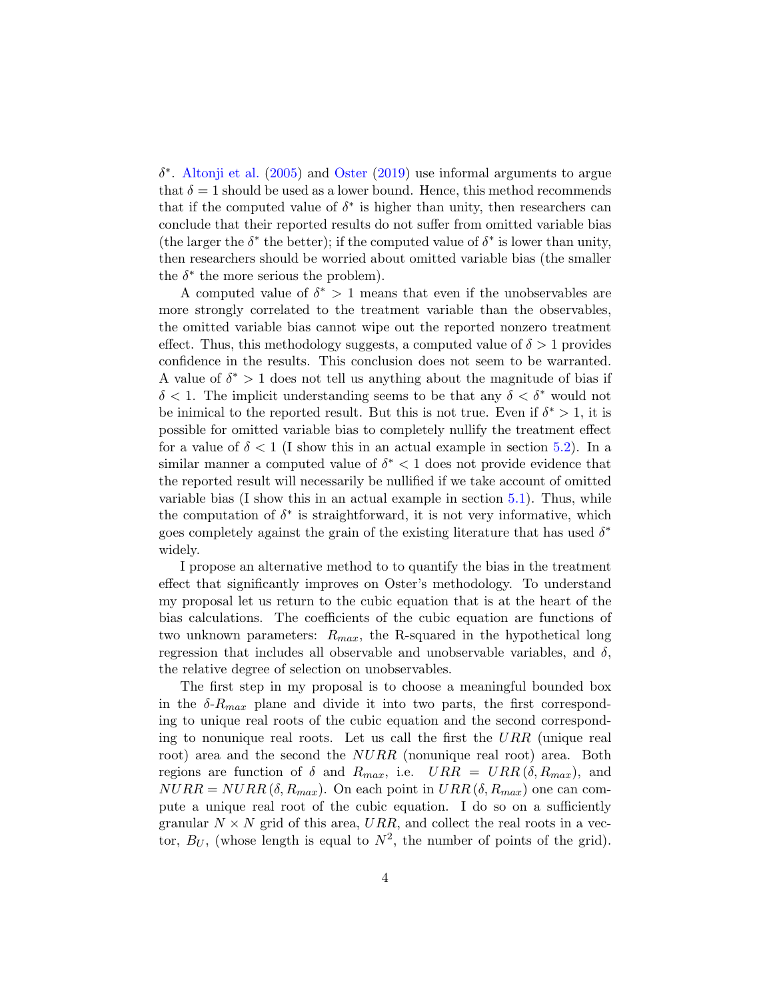$\delta^*$ . [Altonji et al.](#page-29-1) [\(2005\)](#page-29-1) and [Oster](#page-30-0) [\(2019\)](#page-30-0) use informal arguments to argue that  $\delta = 1$  should be used as a lower bound. Hence, this method recommends that if the computed value of  $\delta^*$  is higher than unity, then researchers can conclude that their reported results do not suffer from omitted variable bias (the larger the  $\delta^*$  the better); if the computed value of  $\delta^*$  is lower than unity, then researchers should be worried about omitted variable bias (the smaller the  $\delta^*$  the more serious the problem).

A computed value of  $\delta^* > 1$  means that even if the unobservables are more strongly correlated to the treatment variable than the observables, the omitted variable bias cannot wipe out the reported nonzero treatment effect. Thus, this methodology suggests, a computed value of  $\delta > 1$  provides confidence in the results. This conclusion does not seem to be warranted. A value of  $\delta^* > 1$  does not tell us anything about the magnitude of bias if  $\delta$  < 1. The implicit understanding seems to be that any  $\delta$  <  $\delta^*$  would not be inimical to the reported result. But this is not true. Even if  $\delta^* > 1$ , it is possible for omitted variable bias to completely nullify the treatment effect for a value of  $\delta < 1$  (I show this in an actual example in section [5.2\)](#page-23-0). In a similar manner a computed value of  $\delta^*$  < 1 does not provide evidence that the reported result will necessarily be nullified if we take account of omitted variable bias  $(I \text{ show this in an actual example in section 5.1})$ . Thus, while the computation of  $\delta^*$  is straightforward, it is not very informative, which goes completely against the grain of the existing literature that has used  $\delta^*$ widely.

I propose an alternative method to to quantify the bias in the treatment effect that significantly improves on Oster's methodology. To understand my proposal let us return to the cubic equation that is at the heart of the bias calculations. The coefficients of the cubic equation are functions of two unknown parameters:  $R_{max}$ , the R-squared in the hypothetical long regression that includes all observable and unobservable variables, and  $\delta$ , the relative degree of selection on unobservables.

The first step in my proposal is to choose a meaningful bounded box in the  $\delta$ - $R_{max}$  plane and divide it into two parts, the first corresponding to unique real roots of the cubic equation and the second corresponding to nonunique real roots. Let us call the first the  $URR$  (unique real root) area and the second the NURR (nonunique real root) area. Both regions are function of  $\delta$  and  $R_{max}$ , i.e.  $URR = URR(\delta, R_{max})$ , and  $NURR = NURR (\delta, R_{max})$ . On each point in  $URR(\delta, R_{max})$  one can compute a unique real root of the cubic equation. I do so on a sufficiently granular  $N \times N$  grid of this area, URR, and collect the real roots in a vector,  $B_U$ , (whose length is equal to  $N^2$ , the number of points of the grid).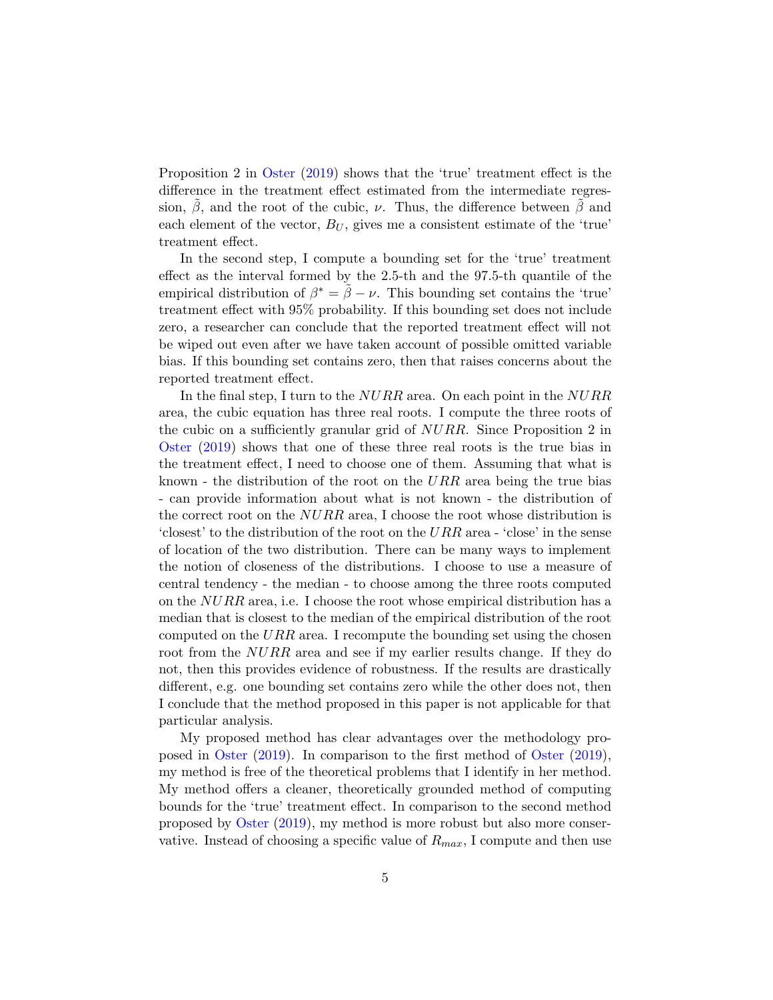Proposition 2 in [Oster](#page-30-0) [\(2019\)](#page-30-0) shows that the 'true' treatment effect is the difference in the treatment effect estimated from the intermediate regression,  $\beta$ , and the root of the cubic,  $\nu$ . Thus, the difference between  $\beta$  and each element of the vector,  $B_U$ , gives me a consistent estimate of the 'true' treatment effect.

In the second step, I compute a bounding set for the 'true' treatment effect as the interval formed by the 2.5-th and the 97.5-th quantile of the empirical distribution of  $\beta^* = \tilde{\beta} - \nu$ . This bounding set contains the 'true' treatment effect with 95% probability. If this bounding set does not include zero, a researcher can conclude that the reported treatment effect will not be wiped out even after we have taken account of possible omitted variable bias. If this bounding set contains zero, then that raises concerns about the reported treatment effect.

In the final step, I turn to the NURR area. On each point in the NURR area, the cubic equation has three real roots. I compute the three roots of the cubic on a sufficiently granular grid of NURR. Since Proposition 2 in [Oster](#page-30-0) [\(2019\)](#page-30-0) shows that one of these three real roots is the true bias in the treatment effect, I need to choose one of them. Assuming that what is known - the distribution of the root on the  $URR$  area being the true bias - can provide information about what is not known - the distribution of the correct root on the  $NURR$  area, I choose the root whose distribution is 'closest' to the distribution of the root on the  $URR$  area - 'close' in the sense of location of the two distribution. There can be many ways to implement the notion of closeness of the distributions. I choose to use a measure of central tendency - the median - to choose among the three roots computed on the NURR area, i.e. I choose the root whose empirical distribution has a median that is closest to the median of the empirical distribution of the root computed on the  $URR$  area. I recompute the bounding set using the chosen root from the NURR area and see if my earlier results change. If they do not, then this provides evidence of robustness. If the results are drastically different, e.g. one bounding set contains zero while the other does not, then I conclude that the method proposed in this paper is not applicable for that particular analysis.

My proposed method has clear advantages over the methodology proposed in [Oster](#page-30-0) [\(2019\)](#page-30-0). In comparison to the first method of [Oster](#page-30-0) [\(2019\)](#page-30-0), my method is free of the theoretical problems that I identify in her method. My method offers a cleaner, theoretically grounded method of computing bounds for the 'true' treatment effect. In comparison to the second method proposed by [Oster](#page-30-0) [\(2019\)](#page-30-0), my method is more robust but also more conservative. Instead of choosing a specific value of  $R_{max}$ , I compute and then use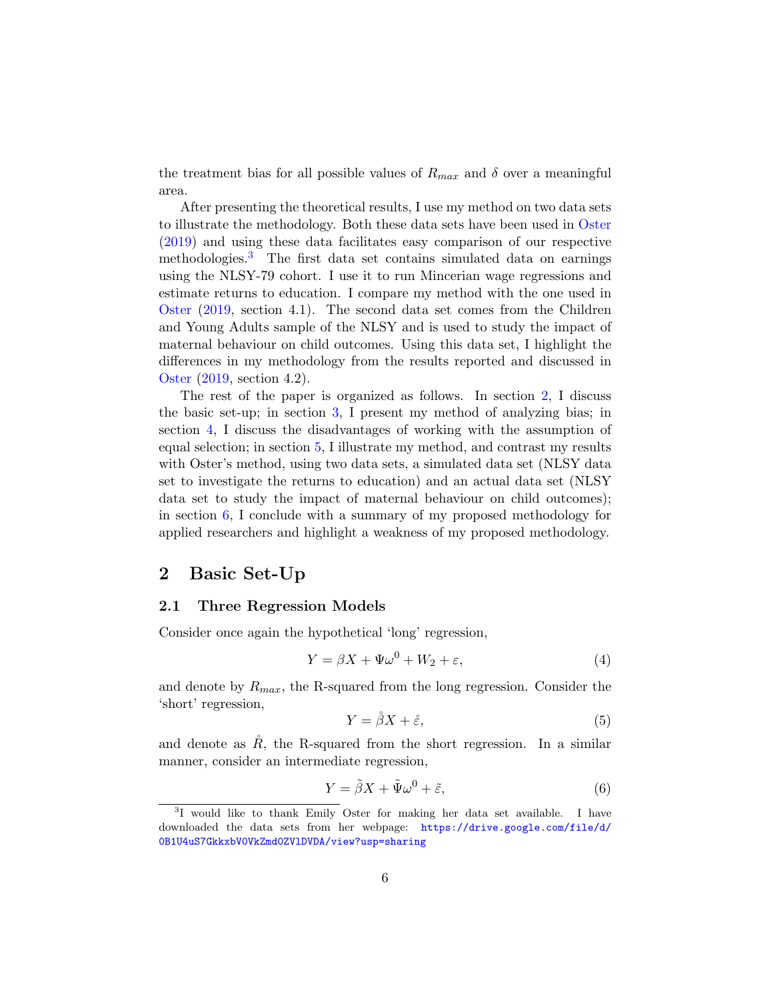the treatment bias for all possible values of  $R_{max}$  and  $\delta$  over a meaningful area.

After presenting the theoretical results, I use my method on two data sets to illustrate the methodology. Both these data sets have been used in [Oster](#page-30-0) [\(2019\)](#page-30-0) and using these data facilitates easy comparison of our respective methodologies.<sup>[3](#page-1-0)</sup> The first data set contains simulated data on earnings using the NLSY-79 cohort. I use it to run Mincerian wage regressions and estimate returns to education. I compare my method with the one used in [Oster](#page-30-0) [\(2019,](#page-30-0) section 4.1). The second data set comes from the Children and Young Adults sample of the NLSY and is used to study the impact of maternal behaviour on child outcomes. Using this data set, I highlight the differences in my methodology from the results reported and discussed in [Oster](#page-30-0) [\(2019,](#page-30-0) section 4.2).

The rest of the paper is organized as follows. In section [2,](#page-6-0) I discuss the basic set-up; in section [3,](#page-9-0) I present my method of analyzing bias; in section [4,](#page-12-0) I discuss the disadvantages of working with the assumption of equal selection; in section [5,](#page-18-1) I illustrate my method, and contrast my results with Oster's method, using two data sets, a simulated data set (NLSY data set to investigate the returns to education) and an actual data set (NLSY data set to study the impact of maternal behaviour on child outcomes); in section  $6$ , I conclude with a summary of my proposed methodology for applied researchers and highlight a weakness of my proposed methodology.

## <span id="page-6-0"></span>2 Basic Set-Up

### 2.1 Three Regression Models

Consider once again the hypothetical 'long' regression,

$$
Y = \beta X + \Psi \omega^0 + W_2 + \varepsilon,\tag{4}
$$

and denote by  $R_{max}$ , the R-squared from the long regression. Consider the 'short' regression,

$$
Y = \mathring{\beta}X + \mathring{\varepsilon},\tag{5}
$$

and denote as  $\mathring{R}$ , the R-squared from the short regression. In a similar manner, consider an intermediate regression,

$$
Y = \tilde{\beta}X + \tilde{\Psi}\omega^0 + \tilde{\varepsilon},\tag{6}
$$

<sup>&</sup>lt;sup>3</sup>I would like to thank Emily Oster for making her data set available. I have downloaded the data sets from her webpage: [https://drive.google.com/file/d/](https://drive.google.com/file/d/0B1U4uS7GkkxbV0VkZmd0ZVlDVDA/view?usp=sharing) [0B1U4uS7GkkxbV0VkZmd0ZVlDVDA/view?usp=sharing](https://drive.google.com/file/d/0B1U4uS7GkkxbV0VkZmd0ZVlDVDA/view?usp=sharing)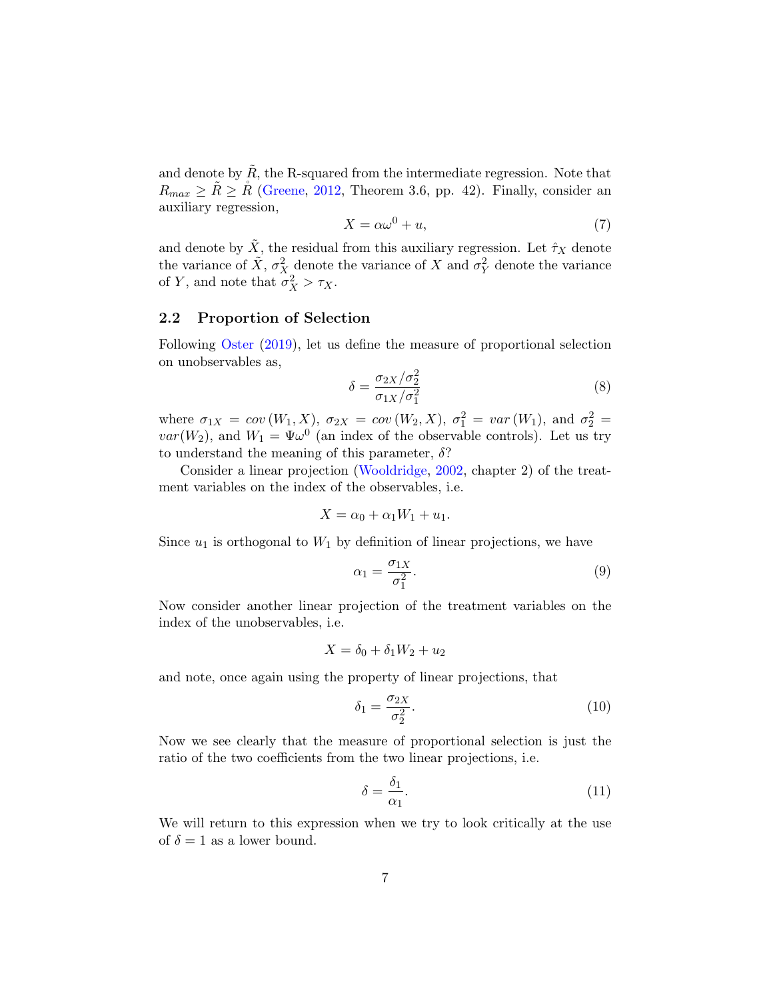and denote by  $\tilde{R}$ , the R-squared from the intermediate regression. Note that  $R_{max} \geq \tilde{R} \geq \tilde{R}$  [\(Greene,](#page-29-4) [2012,](#page-29-4) Theorem 3.6, pp. 42). Finally, consider an auxiliary regression,

$$
X = \alpha \omega^0 + u,\tag{7}
$$

and denote by  $\tilde{X}$ , the residual from this auxiliary regression. Let  $\hat{\tau}_X$  denote the variance of  $\tilde{X}$ ,  $\sigma_X^2$  denote the variance of X and  $\sigma_Y^2$  denote the variance of Y, and note that  $\sigma_X^2 > \tau_X$ .

### 2.2 Proportion of Selection

Following [Oster](#page-30-0) [\(2019\)](#page-30-0), let us define the measure of proportional selection on unobservables as,

$$
\delta = \frac{\sigma_{2X}/\sigma_2^2}{\sigma_{1X}/\sigma_1^2} \tag{8}
$$

where  $\sigma_{1X} = cov(W_1, X)$ ,  $\sigma_{2X} = cov(W_2, X)$ ,  $\sigma_1^2 = var(W_1)$ , and  $\sigma_2^2 = var(W_2)$  $var(W_2)$ , and  $W_1 = \Psi \omega^0$  (an index of the observable controls). Let us try to understand the meaning of this parameter,  $\delta$ ?

Consider a linear projection [\(Wooldridge,](#page-30-4) [2002,](#page-30-4) chapter 2) of the treatment variables on the index of the observables, i.e.

$$
X = \alpha_0 + \alpha_1 W_1 + u_1.
$$

Since  $u_1$  is orthogonal to  $W_1$  by definition of linear projections, we have

$$
\alpha_1 = \frac{\sigma_{1X}}{\sigma_1^2}.\tag{9}
$$

Now consider another linear projection of the treatment variables on the index of the unobservables, i.e.

$$
X = \delta_0 + \delta_1 W_2 + u_2
$$

and note, once again using the property of linear projections, that

$$
\delta_1 = \frac{\sigma_{2X}}{\sigma_2^2}.\tag{10}
$$

Now we see clearly that the measure of proportional selection is just the ratio of the two coefficients from the two linear projections, i.e.

<span id="page-7-0"></span>
$$
\delta = \frac{\delta_1}{\alpha_1}.\tag{11}
$$

We will return to this expression when we try to look critically at the use of  $\delta = 1$  as a lower bound.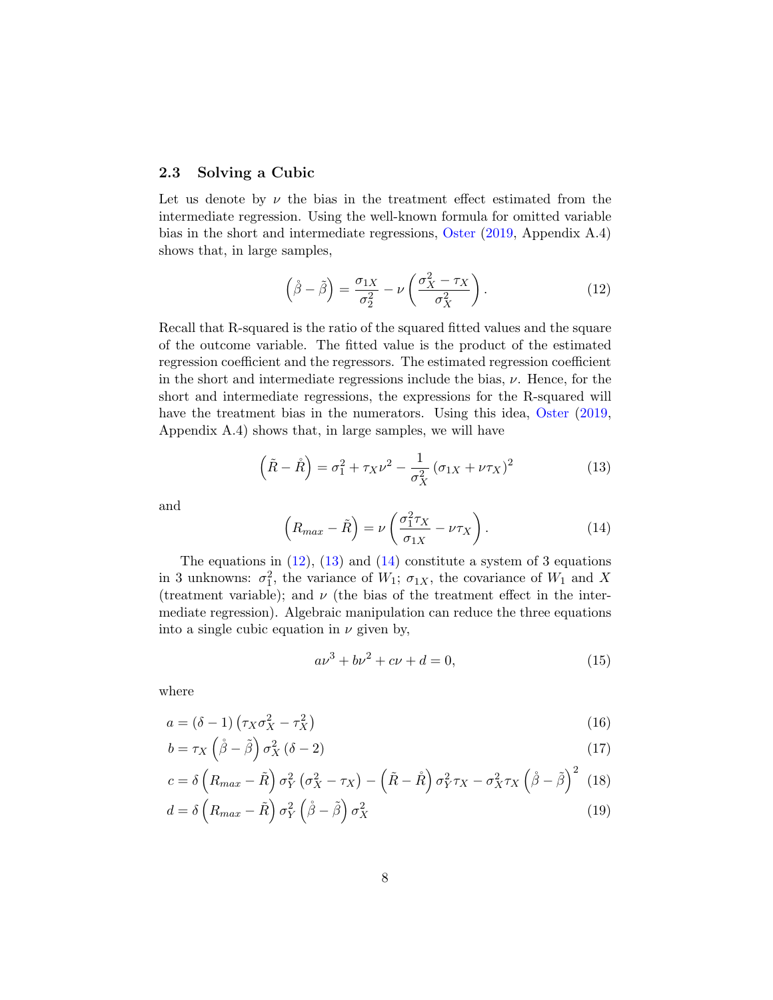### 2.3 Solving a Cubic

Let us denote by  $\nu$  the bias in the treatment effect estimated from the intermediate regression. Using the well-known formula for omitted variable bias in the short and intermediate regressions, [Oster](#page-30-0) [\(2019,](#page-30-0) Appendix A.4) shows that, in large samples,

<span id="page-8-0"></span>
$$
\left(\mathring{\beta} - \tilde{\beta}\right) = \frac{\sigma_{1X}}{\sigma_2^2} - \nu \left(\frac{\sigma_X^2 - \tau_X}{\sigma_X^2}\right). \tag{12}
$$

Recall that R-squared is the ratio of the squared fitted values and the square of the outcome variable. The fitted value is the product of the estimated regression coefficient and the regressors. The estimated regression coefficient in the short and intermediate regressions include the bias,  $\nu$ . Hence, for the short and intermediate regressions, the expressions for the R-squared will have the treatment bias in the numerators. Using this idea, [Oster](#page-30-0)  $(2019, 100)$  $(2019, 100)$ Appendix A.4) shows that, in large samples, we will have

<span id="page-8-1"></span>
$$
\left(\tilde{R} - \mathring{R}\right) = \sigma_1^2 + \tau_X \nu^2 - \frac{1}{\sigma_X^2} \left(\sigma_{1X} + \nu \tau_X\right)^2 \tag{13}
$$

and

<span id="page-8-2"></span>
$$
\left(R_{max} - \tilde{R}\right) = \nu \left(\frac{\sigma_1^2 \tau_X}{\sigma_{1X}} - \nu \tau_X\right). \tag{14}
$$

The equations in  $(12)$ ,  $(13)$  and  $(14)$  constitute a system of 3 equations in 3 unknowns:  $\sigma_1^2$ , the variance of  $W_1$ ;  $\sigma_{1X}$ , the covariance of  $W_1$  and X (treatment variable); and  $\nu$  (the bias of the treatment effect in the intermediate regression). Algebraic manipulation can reduce the three equations into a single cubic equation in  $\nu$  given by,

<span id="page-8-3"></span>
$$
a\nu^3 + b\nu^2 + c\nu + d = 0,\t(15)
$$

where

$$
a = (\delta - 1) \left( \tau_X \sigma_X^2 - \tau_X^2 \right) \tag{16}
$$

$$
b = \tau_X \left(\mathring{\beta} - \tilde{\beta}\right) \sigma_X^2 \left(\delta - 2\right) \tag{17}
$$

$$
c = \delta \left( R_{max} - \tilde{R} \right) \sigma_Y^2 \left( \sigma_X^2 - \tau_X \right) - \left( \tilde{R} - \tilde{R} \right) \sigma_Y^2 \tau_X - \sigma_X^2 \tau_X \left( \dot{\beta} - \tilde{\beta} \right)^2 \tag{18}
$$

$$
d = \delta \left( R_{max} - \tilde{R} \right) \sigma_Y^2 \left( \dot{\beta} - \tilde{\beta} \right) \sigma_X^2 \tag{19}
$$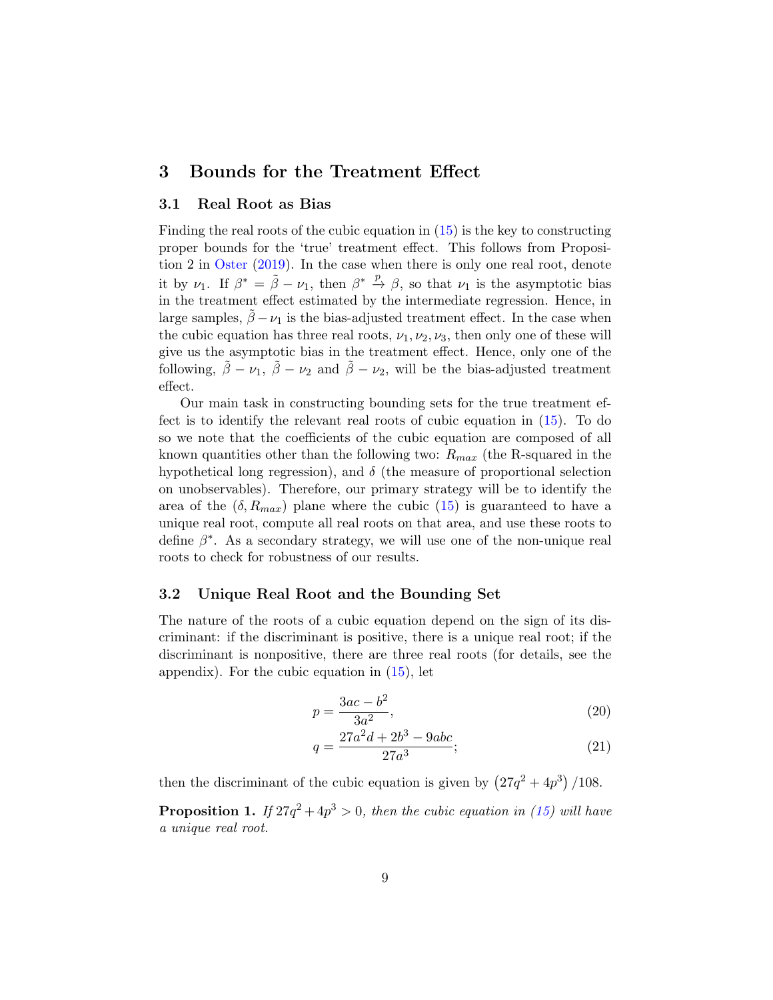### <span id="page-9-0"></span>3 Bounds for the Treatment Effect

### 3.1 Real Root as Bias

Finding the real roots of the cubic equation in [\(15\)](#page-8-3) is the key to constructing proper bounds for the 'true' treatment effect. This follows from Proposition 2 in [Oster](#page-30-0) [\(2019\)](#page-30-0). In the case when there is only one real root, denote it by  $\nu_1$ . If  $\beta^* = \tilde{\beta} - \nu_1$ , then  $\beta^* \stackrel{p}{\rightarrow} \beta$ , so that  $\nu_1$  is the asymptotic bias in the treatment effect estimated by the intermediate regression. Hence, in large samples,  $\hat{\beta} - \nu_1$  is the bias-adjusted treatment effect. In the case when the cubic equation has three real roots,  $\nu_1, \nu_2, \nu_3$ , then only one of these will give us the asymptotic bias in the treatment effect. Hence, only one of the following,  $\tilde{\beta} - \nu_1$ ,  $\tilde{\beta} - \nu_2$  and  $\tilde{\beta} - \nu_2$ , will be the bias-adjusted treatment effect.

Our main task in constructing bounding sets for the true treatment effect is to identify the relevant real roots of cubic equation in [\(15\)](#page-8-3). To do so we note that the coefficients of the cubic equation are composed of all known quantities other than the following two:  $R_{max}$  (the R-squared in the hypothetical long regression), and  $\delta$  (the measure of proportional selection on unobservables). Therefore, our primary strategy will be to identify the area of the  $(\delta, R_{max})$  plane where the cubic  $(15)$  is guaranteed to have a unique real root, compute all real roots on that area, and use these roots to define  $\beta^*$ . As a secondary strategy, we will use one of the non-unique real roots to check for robustness of our results.

### 3.2 Unique Real Root and the Bounding Set

The nature of the roots of a cubic equation depend on the sign of its discriminant: if the discriminant is positive, there is a unique real root; if the discriminant is nonpositive, there are three real roots (for details, see the appendix). For the cubic equation in  $(15)$ , let

$$
p = \frac{3ac - b^2}{3a^2},\tag{20}
$$

$$
q = \frac{27a^2d + 2b^3 - 9abc}{27a^3};
$$
\n(21)

then the discriminant of the cubic equation is given by  $(27q^2 + 4p^3)/108$ .

<span id="page-9-1"></span>**Proposition 1.** If  $27q^2 + 4p^3 > 0$ , then the cubic equation in [\(15\)](#page-8-3) will have a unique real root.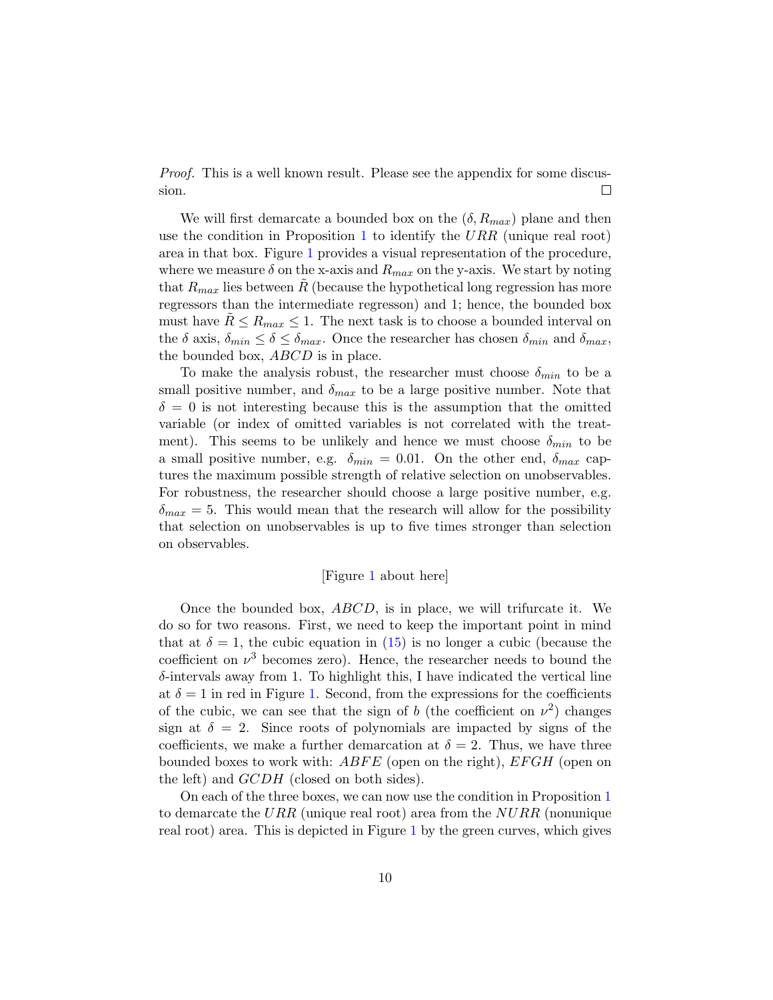*Proof.* This is a well known result. Please see the appendix for some discus- $\Box$ sion.

We will first demarcate a bounded box on the  $(\delta, R_{max})$  plane and then use the condition in Proposition [1](#page-9-1) to identify the  $URR$  (unique real root) area in that box. Figure [1](#page-35-0) provides a visual representation of the procedure, where we measure  $\delta$  on the x-axis and  $R_{max}$  on the y-axis. We start by noting that  $R_{max}$  lies between R (because the hypothetical long regression has more regressors than the intermediate regresson) and 1; hence, the bounded box must have  $R \le R_{max} \le 1$ . The next task is to choose a bounded interval on the  $\delta$  axis,  $\delta_{min} \leq \delta \leq \delta_{max}$ . Once the researcher has chosen  $\delta_{min}$  and  $\delta_{max}$ , the bounded box, *ABCD* is in place.

To make the analysis robust, the researcher must choose  $\delta_{min}$  to be a small positive number, and  $\delta_{max}$  to be a large positive number. Note that  $\delta = 0$  is not interesting because this is the assumption that the omitted variable (or index of omitted variables is not correlated with the treatment). This seems to be unlikely and hence we must choose  $\delta_{min}$  to be a small positive number, e.g.  $\delta_{min} = 0.01$ . On the other end,  $\delta_{max}$  captures the maximum possible strength of relative selection on unobservables. For robustness, the researcher should choose a large positive number, e.g.  $\delta_{max} = 5$ . This would mean that the research will allow for the possibility that selection on unobservables is up to five times stronger than selection on observables.

### [Figure [1](#page-35-0) about here]

Once the bounded box, ABCD, is in place, we will trifurcate it. We do so for two reasons. First, we need to keep the important point in mind that at  $\delta = 1$ , the cubic equation in [\(15\)](#page-8-3) is no longer a cubic (because the coefficient on  $\nu^3$  becomes zero). Hence, the researcher needs to bound the  $\delta$ -intervals away from 1. To highlight this, I have indicated the vertical line at  $\delta = 1$  in red in Figure [1.](#page-35-0) Second, from the expressions for the coefficients of the cubic, we can see that the sign of b (the coefficient on  $\nu^2$ ) changes sign at  $\delta = 2$ . Since roots of polynomials are impacted by signs of the coefficients, we make a further demarcation at  $\delta = 2$ . Thus, we have three bounded boxes to work with:  $ABFE$  (open on the right),  $EFGH$  (open on the left) and  $GCDH$  (closed on both sides).

On each of the three boxes, we can now use the condition in Proposition [1](#page-9-1) to demarcate the URR (unique real root) area from the  $NURR$  (nonunique real root) area. This is depicted in Figure [1](#page-35-0) by the green curves, which gives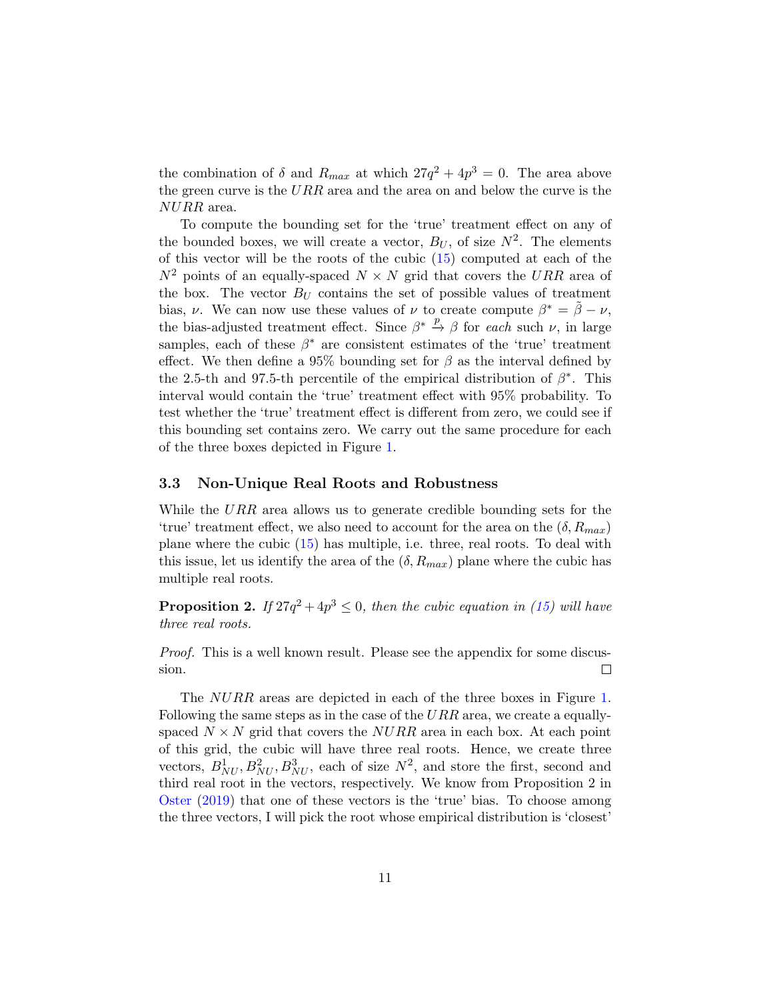the combination of  $\delta$  and  $R_{max}$  at which  $27q^2 + 4p^3 = 0$ . The area above the green curve is the  $URR$  area and the area on and below the curve is the NURR area.

To compute the bounding set for the 'true' treatment effect on any of the bounded boxes, we will create a vector,  $B_U$ , of size  $N^2$ . The elements of this vector will be the roots of the cubic [\(15\)](#page-8-3) computed at each of the  $N^2$  points of an equally-spaced  $N \times N$  grid that covers the URR area of the box. The vector  $B_U$  contains the set of possible values of treatment bias,  $\nu$ . We can now use these values of  $\nu$  to create compute  $\beta^* = \tilde{\beta} - \nu$ , the bias-adjusted treatment effect. Since  $\beta^* \stackrel{p}{\rightarrow} \beta$  for each such  $\nu$ , in large samples, each of these  $\beta^*$  are consistent estimates of the 'true' treatment effect. We then define a 95% bounding set for  $\beta$  as the interval defined by the 2.5-th and 97.5-th percentile of the empirical distribution of  $\beta^*$ . This interval would contain the 'true' treatment effect with 95% probability. To test whether the 'true' treatment effect is different from zero, we could see if this bounding set contains zero. We carry out the same procedure for each of the three boxes depicted in Figure [1.](#page-35-0)

#### 3.3 Non-Unique Real Roots and Robustness

While the URR area allows us to generate credible bounding sets for the 'true' treatment effect, we also need to account for the area on the  $(\delta, R_{max})$ plane where the cubic [\(15\)](#page-8-3) has multiple, i.e. three, real roots. To deal with this issue, let us identify the area of the  $(\delta, R_{max})$  plane where the cubic has multiple real roots.

**Proposition 2.** If  $27q^2 + 4p^3 \leq 0$ , then the cubic equation in [\(15\)](#page-8-3) will have three real roots.

Proof. This is a well known result. Please see the appendix for some discussion.  $\Box$ 

The *NURR* areas are depicted in each of the three boxes in Figure [1.](#page-35-0) Following the same steps as in the case of the  $URR$  area, we create a equallyspaced  $N \times N$  grid that covers the  $NURR$  area in each box. At each point of this grid, the cubic will have three real roots. Hence, we create three vectors,  $B_{NU}^1, B_{NU}^2, B_{NU}^3$ , each of size  $N^2$ , and store the first, second and third real root in the vectors, respectively. We know from Proposition 2 in [Oster](#page-30-0) [\(2019\)](#page-30-0) that one of these vectors is the 'true' bias. To choose among the three vectors, I will pick the root whose empirical distribution is 'closest'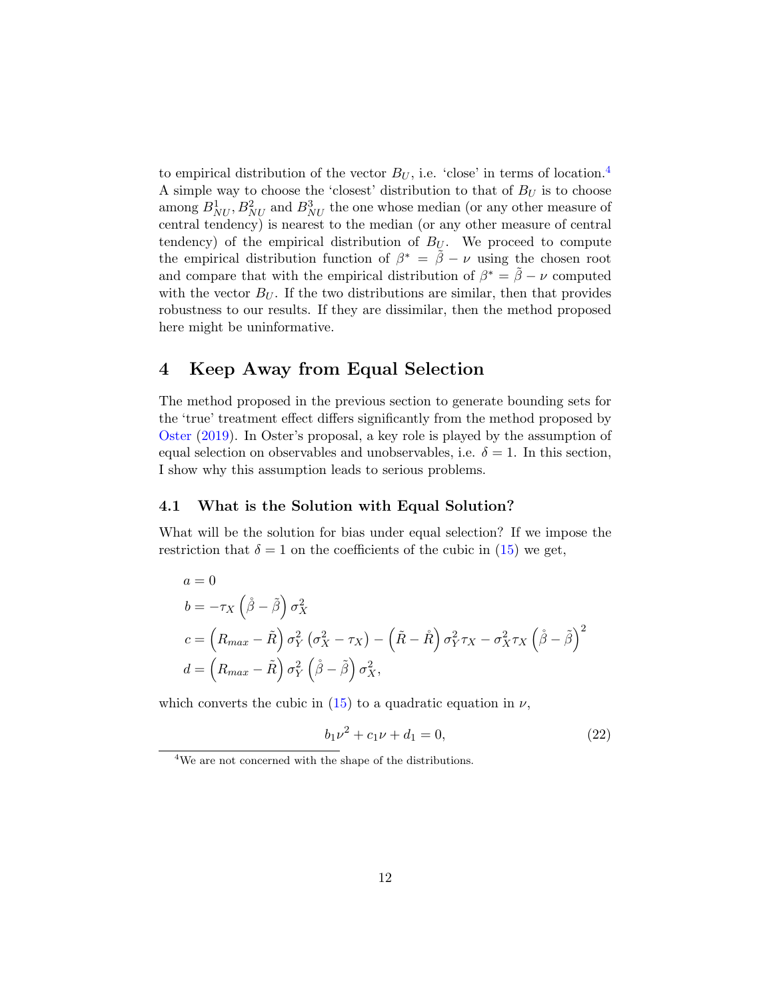to empirical distribution of the vector  $B_U$ , i.e. 'close' in terms of location.<sup>[4](#page-1-0)</sup> A simple way to choose the 'closest' distribution to that of  $B_U$  is to choose among  $B_{NU}^1$ ,  $B_{NU}^2$  and  $B_{NU}^3$  the one whose median (or any other measure of central tendency) is nearest to the median (or any other measure of central tendency) of the empirical distribution of  $B_U$ . We proceed to compute the empirical distribution function of  $\beta^* = \tilde{\beta} - \nu$  using the chosen root and compare that with the empirical distribution of  $\beta^* = \tilde{\beta} - \nu$  computed with the vector  $B_U$ . If the two distributions are similar, then that provides robustness to our results. If they are dissimilar, then the method proposed here might be uninformative.

### <span id="page-12-0"></span>4 Keep Away from Equal Selection

The method proposed in the previous section to generate bounding sets for the 'true' treatment effect differs significantly from the method proposed by [Oster](#page-30-0) [\(2019\)](#page-30-0). In Oster's proposal, a key role is played by the assumption of equal selection on observables and unobservables, i.e.  $\delta = 1$ . In this section, I show why this assumption leads to serious problems.

### 4.1 What is the Solution with Equal Solution?

What will be the solution for bias under equal selection? If we impose the restriction that  $\delta = 1$  on the coefficients of the cubic in [\(15\)](#page-8-3) we get,

$$
a = 0
$$
  
\n
$$
b = -\tau_X \left(\hat{\beta} - \tilde{\beta}\right) \sigma_X^2
$$
  
\n
$$
c = \left(R_{max} - \tilde{R}\right) \sigma_Y^2 \left(\sigma_X^2 - \tau_X\right) - \left(\tilde{R} - \tilde{R}\right) \sigma_Y^2 \tau_X - \sigma_X^2 \tau_X \left(\tilde{\beta} - \tilde{\beta}\right)^2
$$
  
\n
$$
d = \left(R_{max} - \tilde{R}\right) \sigma_Y^2 \left(\tilde{\beta} - \tilde{\beta}\right) \sigma_X^2,
$$

which converts the cubic in  $(15)$  to a quadratic equation in  $\nu$ ,

<span id="page-12-1"></span>
$$
b_1 \nu^2 + c_1 \nu + d_1 = 0,\t\t(22)
$$

<sup>4</sup>We are not concerned with the shape of the distributions.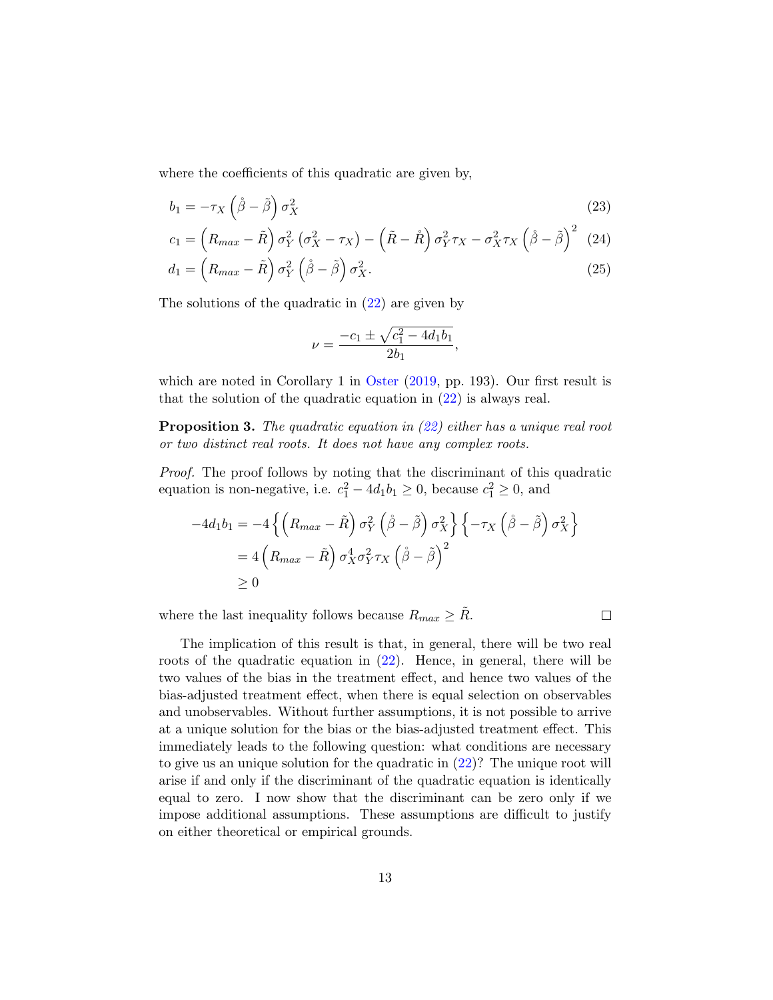where the coefficients of this quadratic are given by,

$$
b_1 = -\tau_X \left(\mathring{\beta} - \tilde{\beta}\right) \sigma_X^2 \tag{23}
$$

$$
c_1 = \left(R_{max} - \tilde{R}\right)\sigma_Y^2\left(\sigma_X^2 - \tau_X\right) - \left(\tilde{R} - \mathring{R}\right)\sigma_Y^2\tau_X - \sigma_X^2\tau_X\left(\mathring{\beta} - \tilde{\beta}\right)^2\tag{24}
$$

$$
d_1 = \left(R_{max} - \tilde{R}\right)\sigma_Y^2 \left(\mathring{\beta} - \tilde{\beta}\right)\sigma_X^2.
$$
\n(25)

The solutions of the quadratic in [\(22\)](#page-12-1) are given by

$$
\nu = \frac{-c_1 \pm \sqrt{c_1^2 - 4d_1b_1}}{2b_1},
$$

which are noted in Corollary 1 in [Oster](#page-30-0) [\(2019,](#page-30-0) pp. 193). Our first result is that the solution of the quadratic equation in [\(22\)](#page-12-1) is always real.

**Proposition 3.** The quadratic equation in  $(22)$  either has a unique real root or two distinct real roots. It does not have any complex roots.

Proof. The proof follows by noting that the discriminant of this quadratic equation is non-negative, i.e.  $c_1^2 - 4d_1b_1 \ge 0$ , because  $c_1^2 \ge 0$ , and

$$
-4d_1b_1 = -4\left\{ \left(R_{max} - \tilde{R}\right)\sigma_Y^2 \left(\dot{\beta} - \tilde{\beta}\right)\sigma_X^2 \right\} \left\{-\tau_X \left(\dot{\beta} - \tilde{\beta}\right)\sigma_X^2 \right\}
$$
  
= 4\left(R\_{max} - \tilde{R}\right)\sigma\_X^4 \sigma\_Y^2 \tau\_X \left(\dot{\beta} - \tilde{\beta}\right)^2  
\ge 0

where the last inequality follows because  $R_{max} \geq R$ .

 $\Box$ 

The implication of this result is that, in general, there will be two real roots of the quadratic equation in [\(22\)](#page-12-1). Hence, in general, there will be two values of the bias in the treatment effect, and hence two values of the bias-adjusted treatment effect, when there is equal selection on observables and unobservables. Without further assumptions, it is not possible to arrive at a unique solution for the bias or the bias-adjusted treatment effect. This immediately leads to the following question: what conditions are necessary to give us an unique solution for the quadratic in [\(22\)](#page-12-1)? The unique root will arise if and only if the discriminant of the quadratic equation is identically equal to zero. I now show that the discriminant can be zero only if we impose additional assumptions. These assumptions are difficult to justify on either theoretical or empirical grounds.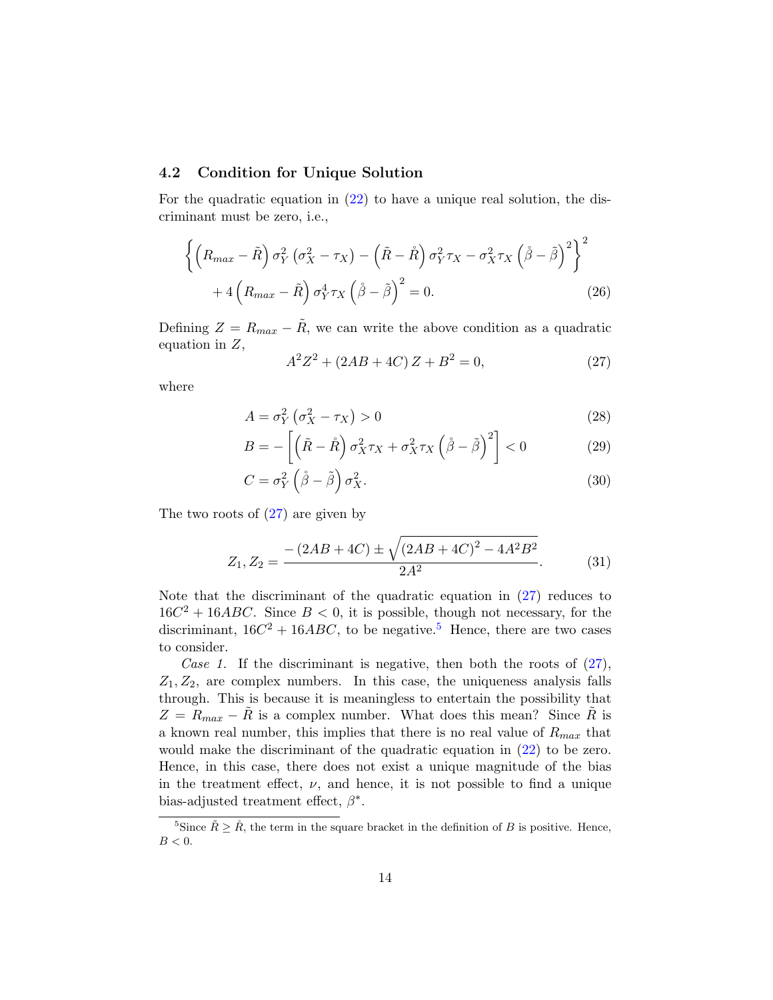### 4.2 Condition for Unique Solution

For the quadratic equation in [\(22\)](#page-12-1) to have a unique real solution, the discriminant must be zero, i.e.,

$$
\left\{ \left( R_{max} - \tilde{R} \right) \sigma_Y^2 \left( \sigma_X^2 - \tau_X \right) - \left( \tilde{R} - \tilde{R} \right) \sigma_Y^2 \tau_X - \sigma_X^2 \tau_X \left( \dot{\beta} - \tilde{\beta} \right)^2 \right\}^2 + 4 \left( R_{max} - \tilde{R} \right) \sigma_Y^4 \tau_X \left( \dot{\beta} - \tilde{\beta} \right)^2 = 0.
$$
 (26)

Defining  $Z = R_{max} - \tilde{R}$ , we can write the above condition as a quadratic equation in  $Z$ ,

<span id="page-14-2"></span><span id="page-14-0"></span>
$$
A^2 Z^2 + (2AB + 4C) Z + B^2 = 0,\t(27)
$$

where

$$
A = \sigma_Y^2 \left( \sigma_X^2 - \tau_X \right) > 0 \tag{28}
$$

$$
B = -\left[\left(\tilde{R} - \mathring{R}\right)\sigma_X^2 \tau_X + \sigma_X^2 \tau_X \left(\mathring{\beta} - \tilde{\beta}\right)^2\right] < 0 \tag{29}
$$

$$
C = \sigma_Y^2 \left(\mathring{\beta} - \tilde{\beta}\right) \sigma_X^2. \tag{30}
$$

The two roots of  $(27)$  are given by

<span id="page-14-1"></span>
$$
Z_1, Z_2 = \frac{-\left(2AB + 4C\right) \pm \sqrt{\left(2AB + 4C\right)^2 - 4A^2B^2}}{2A^2}.
$$
 (31)

Note that the discriminant of the quadratic equation in [\(27\)](#page-14-0) reduces to  $16C^2 + 16ABC$ . Since  $B < 0$ , it is possible, though not necessary, for the discriminant,  $16C^2 + 16ABC$ , to be negative.<sup>[5](#page-1-0)</sup> Hence, there are two cases to consider.

Case 1. If the discriminant is negative, then both the roots of  $(27)$ ,  $Z_1, Z_2$ , are complex numbers. In this case, the uniqueness analysis falls through. This is because it is meaningless to entertain the possibility that  $Z = R_{max} - R$  is a complex number. What does this mean? Since  $\tilde{R}$  is a known real number, this implies that there is no real value of  $R_{max}$  that would make the discriminant of the quadratic equation in [\(22\)](#page-12-1) to be zero. Hence, in this case, there does not exist a unique magnitude of the bias in the treatment effect,  $\nu$ , and hence, it is not possible to find a unique bias-adjusted treatment effect,  $\beta^*$ .

<sup>&</sup>lt;sup>5</sup>Since  $\tilde{R} \geq \mathring{R}$ , the term in the square bracket in the definition of B is positive. Hence,  $B < 0$ .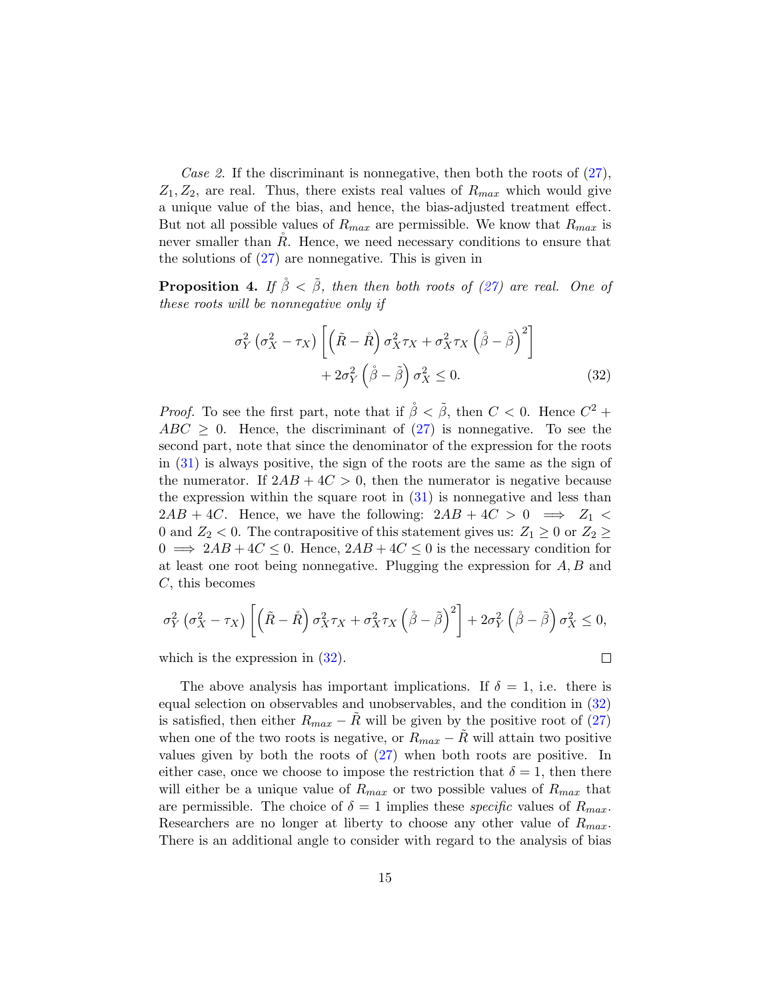Case 2. If the discriminant is nonnegative, then both the roots of  $(27)$ ,  $Z_1, Z_2$ , are real. Thus, there exists real values of  $R_{max}$  which would give a unique value of the bias, and hence, the bias-adjusted treatment effect. But not all possible values of  $R_{max}$  are permissible. We know that  $R_{max}$  is never smaller than  $R$ . Hence, we need necessary conditions to ensure that the solutions of [\(27\)](#page-14-0) are nonnegative. This is given in

<span id="page-15-1"></span>**Proposition 4.** If  $\hat{\beta} < \tilde{\beta}$ , then then both roots of [\(27\)](#page-14-0) are real. One of these roots will be nonnegative only if

$$
\sigma_Y^2 \left( \sigma_X^2 - \tau_X \right) \left[ \left( \tilde{R} - \mathring{R} \right) \sigma_X^2 \tau_X + \sigma_X^2 \tau_X \left( \mathring{\beta} - \tilde{\beta} \right)^2 \right] + 2\sigma_Y^2 \left( \mathring{\beta} - \tilde{\beta} \right) \sigma_X^2 \le 0.
$$
\n(32)

*Proof.* To see the first part, note that if  $\hat{\beta} < \tilde{\beta}$ , then  $C < 0$ . Hence  $C^2$  +  $ABC \geq 0$ . Hence, the discriminant of  $(27)$  is nonnegative. To see the second part, note that since the denominator of the expression for the roots in [\(31\)](#page-14-1) is always positive, the sign of the roots are the same as the sign of the numerator. If  $2AB + 4C > 0$ , then the numerator is negative because the expression within the square root in  $(31)$  is nonnegative and less than  $2AB + 4C$ . Hence, we have the following:  $2AB + 4C > 0 \implies Z_1 <$ 0 and  $Z_2$  < 0. The contrapositive of this statement gives us:  $Z_1 \geq 0$  or  $Z_2 \geq$  $0 \implies 2AB + 4C \leq 0$ . Hence,  $2AB + 4C \leq 0$  is the necessary condition for at least one root being nonnegative. Plugging the expression for  $A, B$  and  $C$ , this becomes

$$
\sigma_Y^2 \left( \sigma_X^2 - \tau_X \right) \left[ \left( \tilde{R} - \tilde{R} \right) \sigma_X^2 \tau_X + \sigma_X^2 \tau_X \left( \tilde{\beta} - \tilde{\beta} \right)^2 \right] + 2 \sigma_Y^2 \left( \tilde{\beta} - \tilde{\beta} \right) \sigma_X^2 \le 0,
$$

which is the expression in  $(32)$ .

<span id="page-15-0"></span> $\Box$ 

The above analysis has important implications. If  $\delta = 1$ , i.e. there is equal selection on observables and unobservables, and the condition in [\(32\)](#page-15-0) is satisfied, then either  $R_{max} - R$  will be given by the positive root of [\(27\)](#page-14-0) when one of the two roots is negative, or  $R_{max} - R$  will attain two positive values given by both the roots of [\(27\)](#page-14-0) when both roots are positive. In either case, once we choose to impose the restriction that  $\delta = 1$ , then there will either be a unique value of  $R_{max}$  or two possible values of  $R_{max}$  that are permissible. The choice of  $\delta = 1$  implies these *specific* values of  $R_{max}$ . Researchers are no longer at liberty to choose any other value of  $R_{max}$ . There is an additional angle to consider with regard to the analysis of bias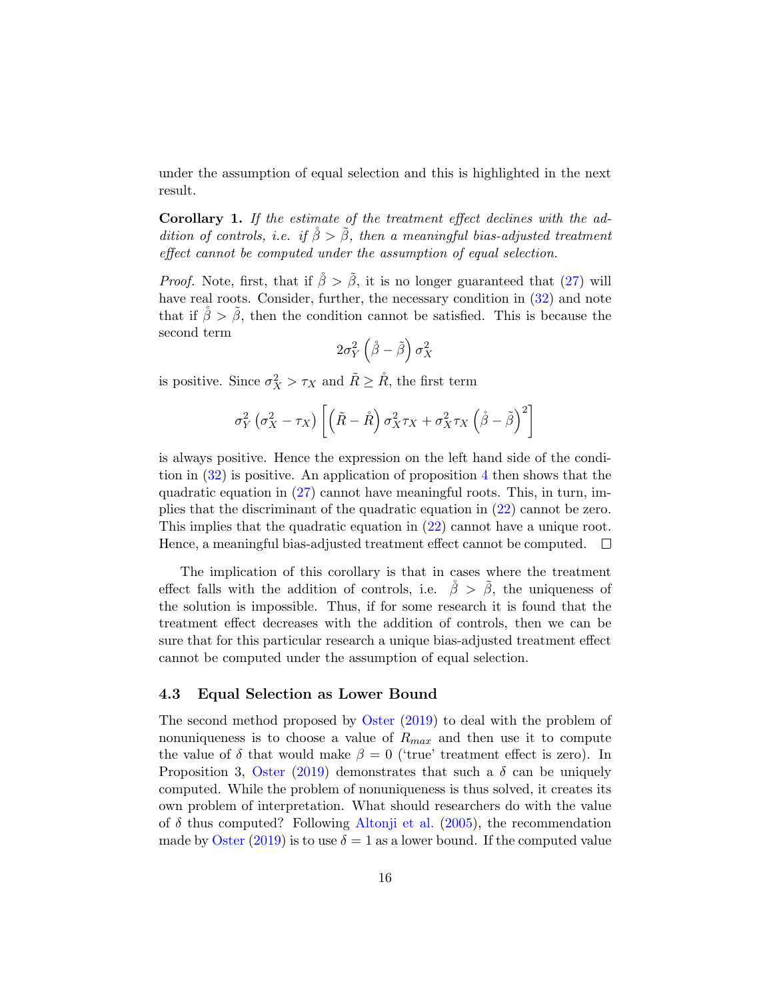under the assumption of equal selection and this is highlighted in the next result.

Corollary 1. If the estimate of the treatment effect declines with the addition of controls, i.e. if  $\check{\beta} > \check{\beta}$ , then a meaningful bias-adjusted treatment effect cannot be computed under the assumption of equal selection.

*Proof.* Note, first, that if  $\hat{\beta} > \tilde{\beta}$ , it is no longer guaranteed that [\(27\)](#page-14-0) will have real roots. Consider, further, the necessary condition in  $(32)$  and note that if  $\beta > \beta$ , then the condition cannot be satisfied. This is because the second term

$$
2\sigma_Y^2\left(\mathring{\beta}-\tilde{\beta}\right)\sigma_X^2
$$

is positive. Since  $\sigma_X^2 > \tau_X$  and  $\tilde{R} \geq \overset{\circ}{R}$ , the first term

$$
\sigma_Y^2 \left(\sigma_X^2 - \tau_X\right) \left[ \left( \tilde{R} - \mathring{R} \right) \sigma_X^2 \tau_X + \sigma_X^2 \tau_X \left( \mathring{\beta} - \tilde{\beta} \right)^2 \right]
$$

is always positive. Hence the expression on the left hand side of the condition in [\(32\)](#page-15-0) is positive. An application of proposition [4](#page-15-1) then shows that the quadratic equation in [\(27\)](#page-14-0) cannot have meaningful roots. This, in turn, implies that the discriminant of the quadratic equation in [\(22\)](#page-12-1) cannot be zero. This implies that the quadratic equation in [\(22\)](#page-12-1) cannot have a unique root. Hence, a meaningful bias-adjusted treatment effect cannot be computed.  $\Box$ 

The implication of this corollary is that in cases where the treatment effect falls with the addition of controls, i.e.  $\check{\beta} > \check{\beta}$ , the uniqueness of the solution is impossible. Thus, if for some research it is found that the treatment effect decreases with the addition of controls, then we can be sure that for this particular research a unique bias-adjusted treatment effect cannot be computed under the assumption of equal selection.

### 4.3 Equal Selection as Lower Bound

The second method proposed by [Oster](#page-30-0) [\(2019\)](#page-30-0) to deal with the problem of nonuniqueness is to choose a value of  $R_{max}$  and then use it to compute the value of  $\delta$  that would make  $\beta = 0$  ('true' treatment effect is zero). In Proposition 3, [Oster](#page-30-0) [\(2019\)](#page-30-0) demonstrates that such a  $\delta$  can be uniquely computed. While the problem of nonuniqueness is thus solved, it creates its own problem of interpretation. What should researchers do with the value of  $\delta$  thus computed? Following [Altonji et al.](#page-29-1) [\(2005\)](#page-29-1), the recommendation made by [Oster](#page-30-0) [\(2019\)](#page-30-0) is to use  $\delta = 1$  as a lower bound. If the computed value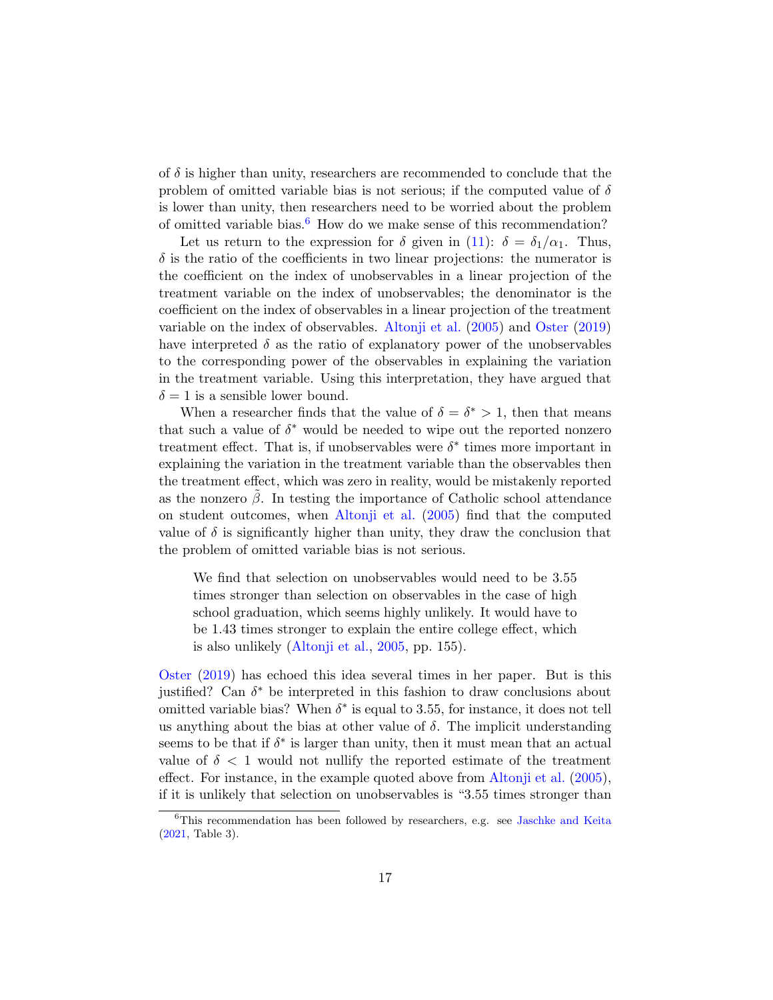of  $\delta$  is higher than unity, researchers are recommended to conclude that the problem of omitted variable bias is not serious; if the computed value of  $\delta$ is lower than unity, then researchers need to be worried about the problem of omitted variable bias.<sup>[6](#page-1-0)</sup> How do we make sense of this recommendation?

Let us return to the expression for  $\delta$  given in [\(11\)](#page-7-0):  $\delta = \delta_1/\alpha_1$ . Thus,  $\delta$  is the ratio of the coefficients in two linear projections: the numerator is the coefficient on the index of unobservables in a linear projection of the treatment variable on the index of unobservables; the denominator is the coefficient on the index of observables in a linear projection of the treatment variable on the index of observables. [Altonji et al.](#page-29-1) [\(2005\)](#page-29-1) and [Oster](#page-30-0) [\(2019\)](#page-30-0) have interpreted  $\delta$  as the ratio of explanatory power of the unobservables to the corresponding power of the observables in explaining the variation in the treatment variable. Using this interpretation, they have argued that  $\delta = 1$  is a sensible lower bound.

When a researcher finds that the value of  $\delta = \delta^* > 1$ , then that means that such a value of  $\delta^*$  would be needed to wipe out the reported nonzero treatment effect. That is, if unobservables were  $\delta^*$  times more important in explaining the variation in the treatment variable than the observables then the treatment effect, which was zero in reality, would be mistakenly reported as the nonzero  $\beta$ . In testing the importance of Catholic school attendance on student outcomes, when [Altonji et al.](#page-29-1) [\(2005\)](#page-29-1) find that the computed value of  $\delta$  is significantly higher than unity, they draw the conclusion that the problem of omitted variable bias is not serious.

We find that selection on unobservables would need to be 3.55 times stronger than selection on observables in the case of high school graduation, which seems highly unlikely. It would have to be 1.43 times stronger to explain the entire college effect, which is also unlikely [\(Altonji et al.,](#page-29-1) [2005,](#page-29-1) pp. 155).

[Oster](#page-30-0) [\(2019\)](#page-30-0) has echoed this idea several times in her paper. But is this justified? Can  $\delta^*$  be interpreted in this fashion to draw conclusions about omitted variable bias? When  $\delta^*$  is equal to 3.55, for instance, it does not tell us anything about the bias at other value of  $\delta$ . The implicit understanding seems to be that if  $\delta^*$  is larger than unity, then it must mean that an actual value of  $\delta$  < 1 would not nullify the reported estimate of the treatment effect. For instance, in the example quoted above from [Altonji et al.](#page-29-1) [\(2005\)](#page-29-1), if it is unlikely that selection on unobservables is "3.55 times stronger than

<sup>6</sup>This recommendation has been followed by researchers, e.g. see [Jaschke and Keita](#page-30-3) [\(2021,](#page-30-3) Table 3).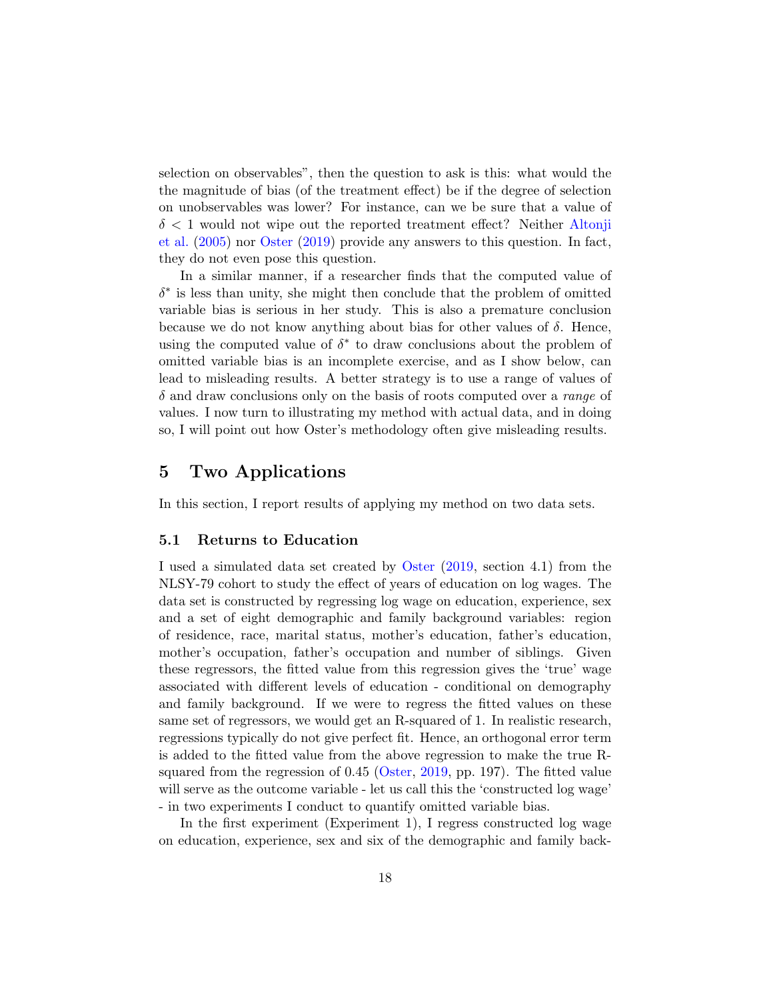selection on observables", then the question to ask is this: what would the the magnitude of bias (of the treatment effect) be if the degree of selection on unobservables was lower? For instance, can we be sure that a value of  $\delta$  < 1 would not wipe out the reported treatment effect? Neither [Altonji](#page-29-1) [et al.](#page-29-1) [\(2005\)](#page-29-1) nor [Oster](#page-30-0) [\(2019\)](#page-30-0) provide any answers to this question. In fact, they do not even pose this question.

In a similar manner, if a researcher finds that the computed value of  $\delta^*$  is less than unity, she might then conclude that the problem of omitted variable bias is serious in her study. This is also a premature conclusion because we do not know anything about bias for other values of  $\delta$ . Hence, using the computed value of  $\delta^*$  to draw conclusions about the problem of omitted variable bias is an incomplete exercise, and as I show below, can lead to misleading results. A better strategy is to use a range of values of  $\delta$  and draw conclusions only on the basis of roots computed over a *range* of values. I now turn to illustrating my method with actual data, and in doing so, I will point out how Oster's methodology often give misleading results.

### <span id="page-18-1"></span>5 Two Applications

In this section, I report results of applying my method on two data sets.

### <span id="page-18-0"></span>5.1 Returns to Education

I used a simulated data set created by [Oster](#page-30-0) [\(2019,](#page-30-0) section 4.1) from the NLSY-79 cohort to study the effect of years of education on log wages. The data set is constructed by regressing log wage on education, experience, sex and a set of eight demographic and family background variables: region of residence, race, marital status, mother's education, father's education, mother's occupation, father's occupation and number of siblings. Given these regressors, the fitted value from this regression gives the 'true' wage associated with different levels of education - conditional on demography and family background. If we were to regress the fitted values on these same set of regressors, we would get an R-squared of 1. In realistic research, regressions typically do not give perfect fit. Hence, an orthogonal error term is added to the fitted value from the above regression to make the true Rsquared from the regression of 0.45 [\(Oster,](#page-30-0) [2019,](#page-30-0) pp. 197). The fitted value will serve as the outcome variable - let us call this the 'constructed log wage' - in two experiments I conduct to quantify omitted variable bias.

In the first experiment (Experiment 1), I regress constructed log wage on education, experience, sex and six of the demographic and family back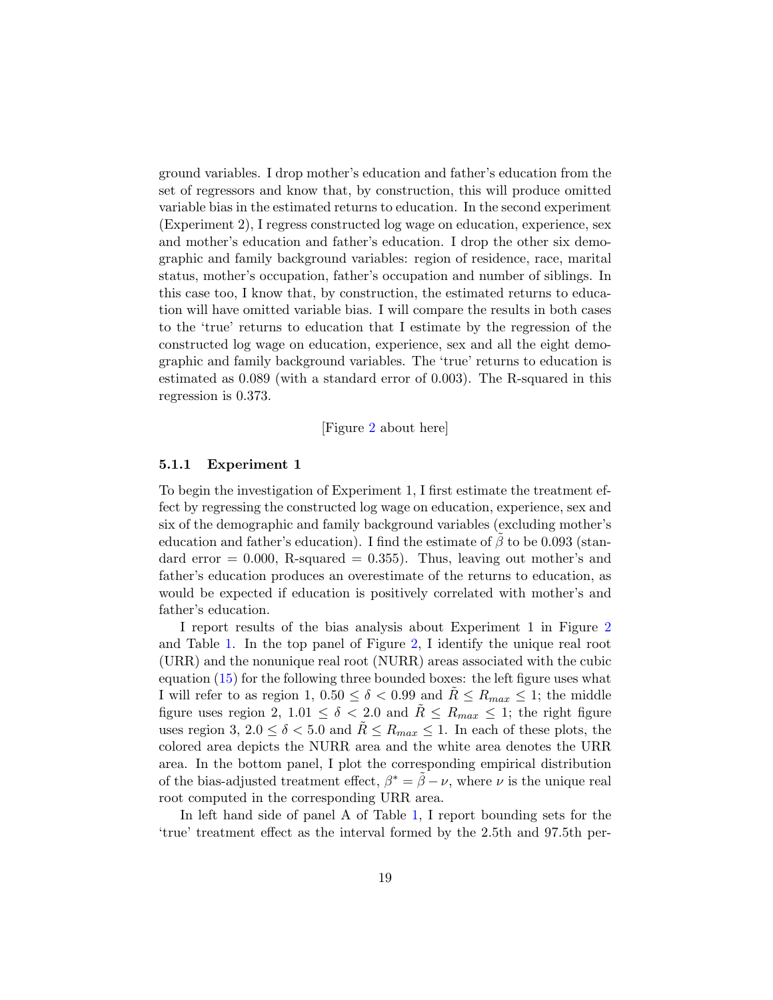ground variables. I drop mother's education and father's education from the set of regressors and know that, by construction, this will produce omitted variable bias in the estimated returns to education. In the second experiment (Experiment 2), I regress constructed log wage on education, experience, sex and mother's education and father's education. I drop the other six demographic and family background variables: region of residence, race, marital status, mother's occupation, father's occupation and number of siblings. In this case too, I know that, by construction, the estimated returns to education will have omitted variable bias. I will compare the results in both cases to the 'true' returns to education that I estimate by the regression of the constructed log wage on education, experience, sex and all the eight demographic and family background variables. The 'true' returns to education is estimated as 0.089 (with a standard error of 0.003). The R-squared in this regression is 0.373.

[Figure [2](#page-36-0) about here]

### 5.1.1 Experiment 1

To begin the investigation of Experiment 1, I first estimate the treatment effect by regressing the constructed log wage on education, experience, sex and six of the demographic and family background variables (excluding mother's education and father's education). I find the estimate of  $\beta$  to be 0.093 (standard error  $= 0.000$ , R-squared  $= 0.355$ . Thus, leaving out mother's and father's education produces an overestimate of the returns to education, as would be expected if education is positively correlated with mother's and father's education.

I report results of the bias analysis about Experiment 1 in Figure [2](#page-36-0) and Table [1.](#page-31-0) In the top panel of Figure [2,](#page-36-0) I identify the unique real root (URR) and the nonunique real root (NURR) areas associated with the cubic equation [\(15\)](#page-8-3) for the following three bounded boxes: the left figure uses what I will refer to as region 1,  $0.50 \le \delta < 0.99$  and  $R \le R_{max} \le 1$ ; the middle figure uses region 2,  $1.01 \le \delta < 2.0$  and  $R \le R_{max} \le 1$ ; the right figure uses region 3,  $2.0 \le \delta < 5.0$  and  $R \le R_{max} \le 1$ . In each of these plots, the colored area depicts the NURR area and the white area denotes the URR area. In the bottom panel, I plot the corresponding empirical distribution of the bias-adjusted treatment effect,  $\beta^* = \tilde{\beta} - \nu$ , where  $\nu$  is the unique real root computed in the corresponding URR area.

In left hand side of panel A of Table [1,](#page-31-0) I report bounding sets for the 'true' treatment effect as the interval formed by the 2.5th and 97.5th per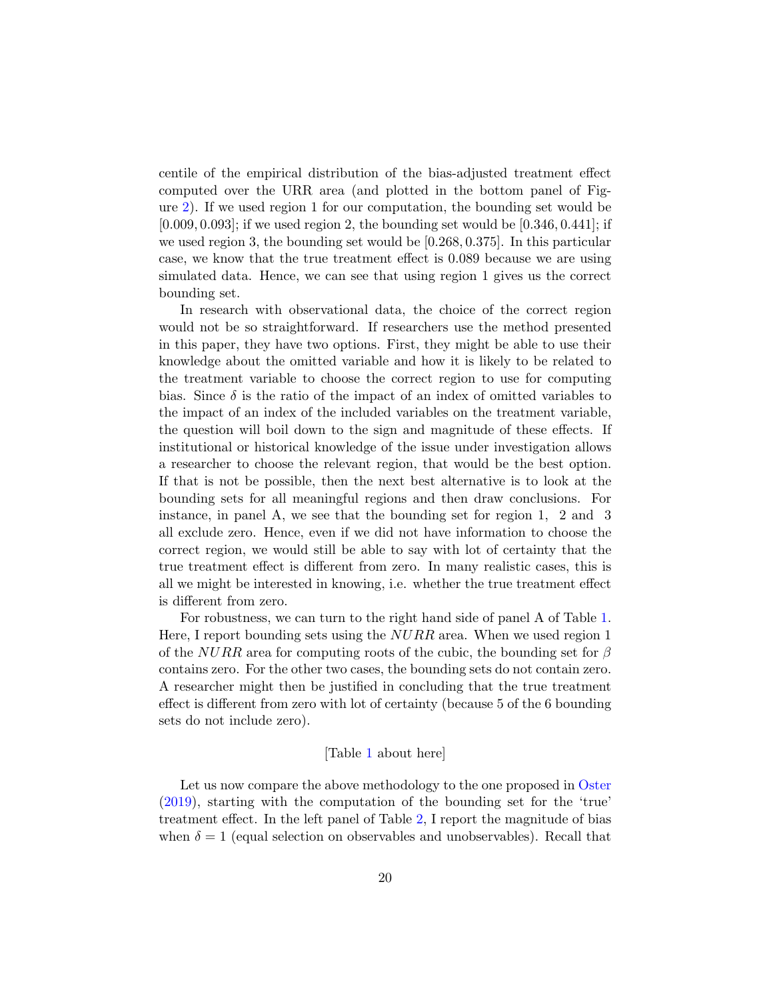centile of the empirical distribution of the bias-adjusted treatment effect computed over the URR area (and plotted in the bottom panel of Figure [2\)](#page-36-0). If we used region 1 for our computation, the bounding set would be  $[0.009, 0.093]$ ; if we used region 2, the bounding set would be  $[0.346, 0.441]$ ; if we used region 3, the bounding set would be [0.268, 0.375]. In this particular case, we know that the true treatment effect is 0.089 because we are using simulated data. Hence, we can see that using region 1 gives us the correct bounding set.

In research with observational data, the choice of the correct region would not be so straightforward. If researchers use the method presented in this paper, they have two options. First, they might be able to use their knowledge about the omitted variable and how it is likely to be related to the treatment variable to choose the correct region to use for computing bias. Since  $\delta$  is the ratio of the impact of an index of omitted variables to the impact of an index of the included variables on the treatment variable, the question will boil down to the sign and magnitude of these effects. If institutional or historical knowledge of the issue under investigation allows a researcher to choose the relevant region, that would be the best option. If that is not be possible, then the next best alternative is to look at the bounding sets for all meaningful regions and then draw conclusions. For instance, in panel A, we see that the bounding set for region 1, 2 and 3 all exclude zero. Hence, even if we did not have information to choose the correct region, we would still be able to say with lot of certainty that the true treatment effect is different from zero. In many realistic cases, this is all we might be interested in knowing, i.e. whether the true treatment effect is different from zero.

For robustness, we can turn to the right hand side of panel A of Table [1.](#page-31-0) Here, I report bounding sets using the  $NURR$  area. When we used region 1 of the NURR area for computing roots of the cubic, the bounding set for  $\beta$ contains zero. For the other two cases, the bounding sets do not contain zero. A researcher might then be justified in concluding that the true treatment effect is different from zero with lot of certainty (because 5 of the 6 bounding sets do not include zero).

#### [Table [1](#page-31-0) about here]

Let us now compare the above methodology to the one proposed in [Oster](#page-30-0) [\(2019\)](#page-30-0), starting with the computation of the bounding set for the 'true' treatment effect. In the left panel of Table [2,](#page-32-0) I report the magnitude of bias when  $\delta = 1$  (equal selection on observables and unobservables). Recall that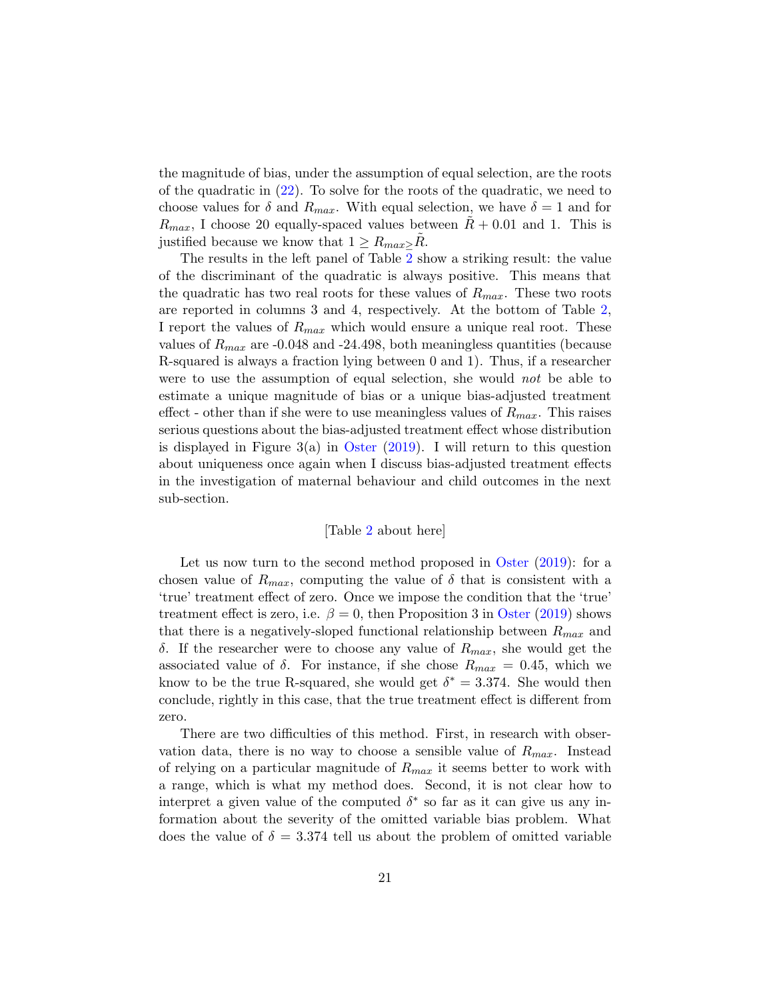the magnitude of bias, under the assumption of equal selection, are the roots of the quadratic in [\(22\)](#page-12-1). To solve for the roots of the quadratic, we need to choose values for  $\delta$  and  $R_{max}$ . With equal selection, we have  $\delta = 1$  and for  $R_{max}$ , I choose 20 equally-spaced values between  $R + 0.01$  and 1. This is justified because we know that  $1 \geq R_{max} > R$ .

The results in the left panel of Table [2](#page-32-0) show a striking result: the value of the discriminant of the quadratic is always positive. This means that the quadratic has two real roots for these values of  $R_{max}$ . These two roots are reported in columns 3 and 4, respectively. At the bottom of Table [2,](#page-32-0) I report the values of  $R_{max}$  which would ensure a unique real root. These values of  $R_{max}$  are -0.048 and -24.498, both meaningless quantities (because R-squared is always a fraction lying between 0 and 1). Thus, if a researcher were to use the assumption of equal selection, she would *not* be able to estimate a unique magnitude of bias or a unique bias-adjusted treatment effect - other than if she were to use meaningless values of  $R_{max}$ . This raises serious questions about the bias-adjusted treatment effect whose distribution is displayed in Figure  $3(a)$  in [Oster](#page-30-0) [\(2019\)](#page-30-0). I will return to this question about uniqueness once again when I discuss bias-adjusted treatment effects in the investigation of maternal behaviour and child outcomes in the next sub-section.

#### [Table [2](#page-32-0) about here]

Let us now turn to the second method proposed in [Oster](#page-30-0)  $(2019)$ : for a chosen value of  $R_{max}$ , computing the value of  $\delta$  that is consistent with a 'true' treatment effect of zero. Once we impose the condition that the 'true' treatment effect is zero, i.e.  $\beta = 0$ , then Proposition 3 in [Oster](#page-30-0) [\(2019\)](#page-30-0) shows that there is a negatively-sloped functional relationship between  $R_{max}$  and δ. If the researcher were to choose any value of  $R_{max}$ , she would get the associated value of  $\delta$ . For instance, if she chose  $R_{max} = 0.45$ , which we know to be the true R-squared, she would get  $\delta^* = 3.374$ . She would then conclude, rightly in this case, that the true treatment effect is different from zero.

There are two difficulties of this method. First, in research with observation data, there is no way to choose a sensible value of  $R_{max}$ . Instead of relying on a particular magnitude of  $R_{max}$  it seems better to work with a range, which is what my method does. Second, it is not clear how to interpret a given value of the computed  $\delta^*$  so far as it can give us any information about the severity of the omitted variable bias problem. What does the value of  $\delta = 3.374$  tell us about the problem of omitted variable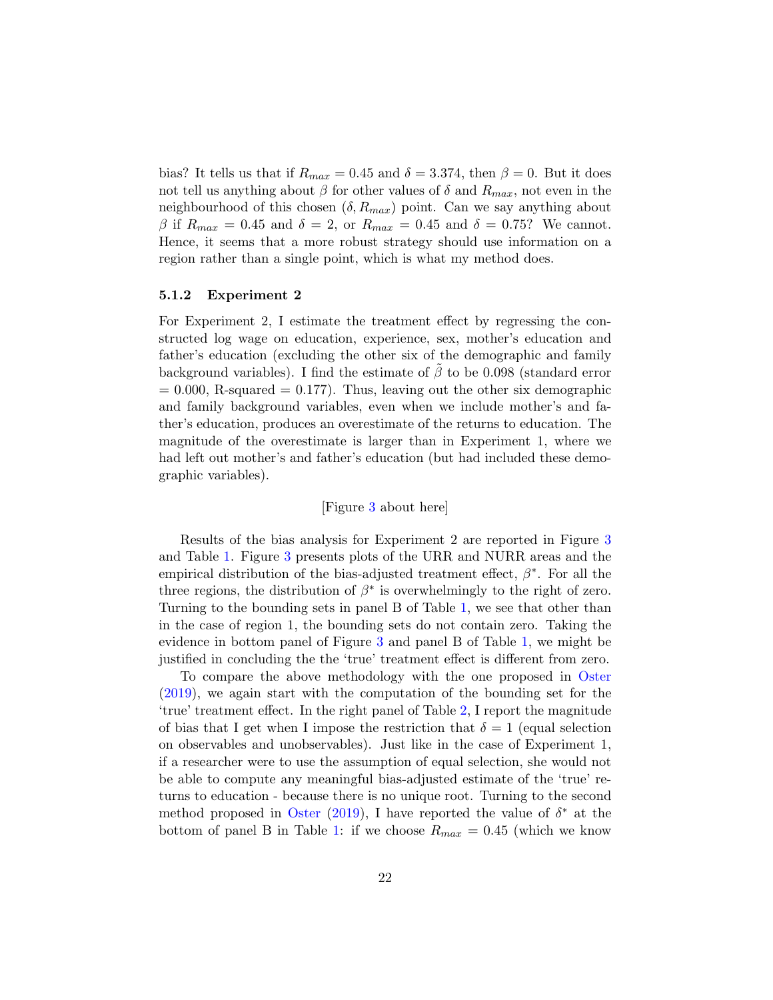bias? It tells us that if  $R_{max} = 0.45$  and  $\delta = 3.374$ , then  $\beta = 0$ . But it does not tell us anything about  $\beta$  for other values of  $\delta$  and  $R_{max}$ , not even in the neighbourhood of this chosen  $(\delta, R_{max})$  point. Can we say anything about β if  $R_{max} = 0.45$  and  $\delta = 2$ , or  $R_{max} = 0.45$  and  $\delta = 0.75$ ? We cannot. Hence, it seems that a more robust strategy should use information on a region rather than a single point, which is what my method does.

#### 5.1.2 Experiment 2

For Experiment 2, I estimate the treatment effect by regressing the constructed log wage on education, experience, sex, mother's education and father's education (excluding the other six of the demographic and family background variables). I find the estimate of  $\beta$  to be 0.098 (standard error  $= 0.000$ , R-squared  $= 0.177$ . Thus, leaving out the other six demographic and family background variables, even when we include mother's and father's education, produces an overestimate of the returns to education. The magnitude of the overestimate is larger than in Experiment 1, where we had left out mother's and father's education (but had included these demographic variables).

### [Figure [3](#page-37-0) about here]

Results of the bias analysis for Experiment 2 are reported in Figure [3](#page-37-0) and Table [1.](#page-31-0) Figure [3](#page-37-0) presents plots of the URR and NURR areas and the empirical distribution of the bias-adjusted treatment effect,  $\beta^*$ . For all the three regions, the distribution of  $\beta^*$  is overwhelmingly to the right of zero. Turning to the bounding sets in panel B of Table [1,](#page-31-0) we see that other than in the case of region 1, the bounding sets do not contain zero. Taking the evidence in bottom panel of Figure [3](#page-37-0) and panel B of Table [1,](#page-31-0) we might be justified in concluding the the 'true' treatment effect is different from zero.

To compare the above methodology with the one proposed in [Oster](#page-30-0) [\(2019\)](#page-30-0), we again start with the computation of the bounding set for the 'true' treatment effect. In the right panel of Table [2,](#page-32-0) I report the magnitude of bias that I get when I impose the restriction that  $\delta = 1$  (equal selection on observables and unobservables). Just like in the case of Experiment 1, if a researcher were to use the assumption of equal selection, she would not be able to compute any meaningful bias-adjusted estimate of the 'true' returns to education - because there is no unique root. Turning to the second method proposed in [Oster](#page-30-0) [\(2019\)](#page-30-0), I have reported the value of  $\delta^*$  at the bottom of panel B in Table [1:](#page-31-0) if we choose  $R_{max} = 0.45$  (which we know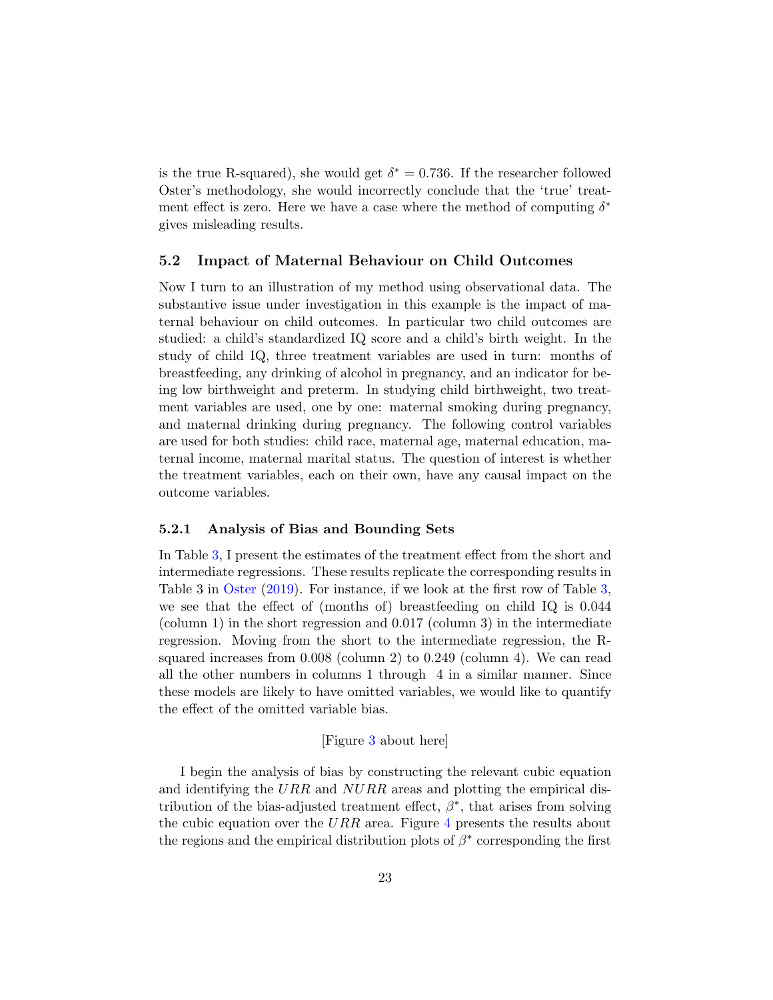is the true R-squared), she would get  $\delta^* = 0.736$ . If the researcher followed Oster's methodology, she would incorrectly conclude that the 'true' treatment effect is zero. Here we have a case where the method of computing  $\delta^*$ gives misleading results.

### <span id="page-23-0"></span>5.2 Impact of Maternal Behaviour on Child Outcomes

Now I turn to an illustration of my method using observational data. The substantive issue under investigation in this example is the impact of maternal behaviour on child outcomes. In particular two child outcomes are studied: a child's standardized IQ score and a child's birth weight. In the study of child IQ, three treatment variables are used in turn: months of breastfeeding, any drinking of alcohol in pregnancy, and an indicator for being low birthweight and preterm. In studying child birthweight, two treatment variables are used, one by one: maternal smoking during pregnancy, and maternal drinking during pregnancy. The following control variables are used for both studies: child race, maternal age, maternal education, maternal income, maternal marital status. The question of interest is whether the treatment variables, each on their own, have any causal impact on the outcome variables.

#### 5.2.1 Analysis of Bias and Bounding Sets

In Table [3,](#page-33-0) I present the estimates of the treatment effect from the short and intermediate regressions. These results replicate the corresponding results in Table 3 in [Oster](#page-30-0) [\(2019\)](#page-30-0). For instance, if we look at the first row of Table [3,](#page-33-0) we see that the effect of (months of) breastfeeding on child IQ is 0.044 (column 1) in the short regression and 0.017 (column 3) in the intermediate regression. Moving from the short to the intermediate regression, the Rsquared increases from 0.008 (column 2) to 0.249 (column 4). We can read all the other numbers in columns 1 through 4 in a similar manner. Since these models are likely to have omitted variables, we would like to quantify the effect of the omitted variable bias.

#### [Figure [3](#page-33-0) about here]

I begin the analysis of bias by constructing the relevant cubic equation and identifying the URR and  $NURR$  areas and plotting the empirical distribution of the bias-adjusted treatment effect,  $\beta^*$ , that arises from solving the cubic equation over the URR area. Figure [4](#page-38-0) presents the results about the regions and the empirical distribution plots of  $\beta^*$  corresponding the first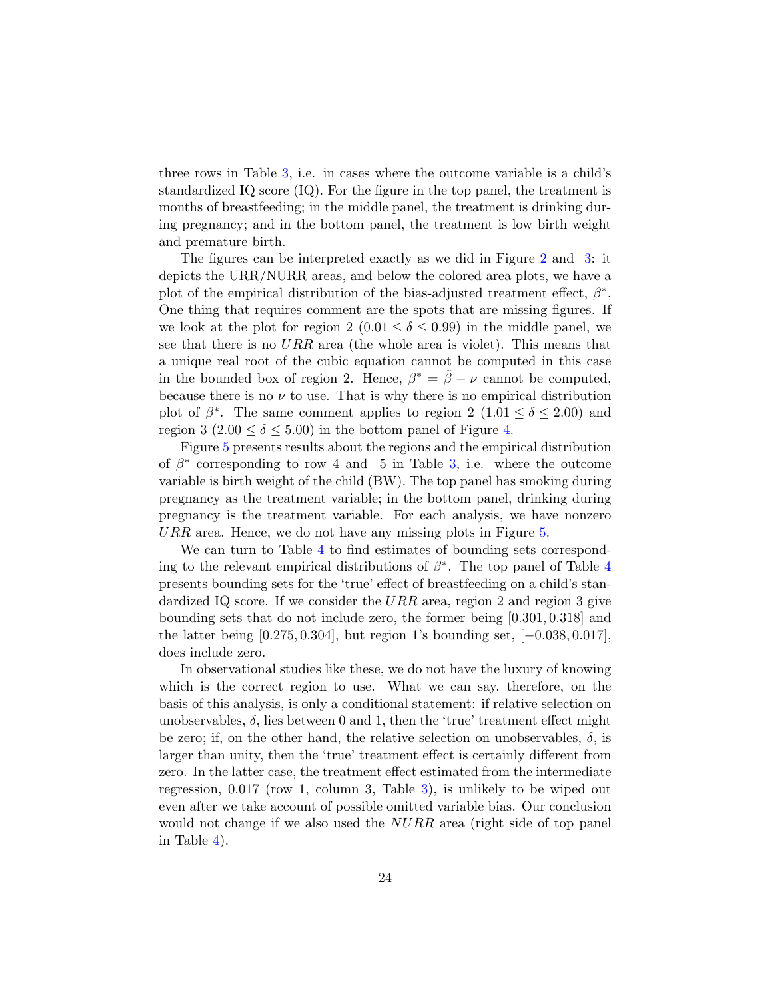three rows in Table [3,](#page-33-0) i.e. in cases where the outcome variable is a child's standardized IQ score (IQ). For the figure in the top panel, the treatment is months of breastfeeding; in the middle panel, the treatment is drinking during pregnancy; and in the bottom panel, the treatment is low birth weight and premature birth.

The figures can be interpreted exactly as we did in Figure [2](#page-36-0) and [3:](#page-37-0) it depicts the URR/NURR areas, and below the colored area plots, we have a plot of the empirical distribution of the bias-adjusted treatment effect,  $\beta^*$ . One thing that requires comment are the spots that are missing figures. If we look at the plot for region 2 (0.01  $\leq \delta \leq$  0.99) in the middle panel, we see that there is no  $URR$  area (the whole area is violet). This means that a unique real root of the cubic equation cannot be computed in this case in the bounded box of region 2. Hence,  $\beta^* = \tilde{\beta} - \nu$  cannot be computed, because there is no  $\nu$  to use. That is why there is no empirical distribution plot of  $\beta^*$ . The same comment applies to region 2 (1.01  $\leq \delta \leq 2.00$ ) and region 3 (2.00  $\leq \delta \leq 5.00$ ) in the bottom panel of Figure [4.](#page-38-0)

Figure [5](#page-39-0) presents results about the regions and the empirical distribution of  $\beta^*$  corresponding to row 4 and 5 in Table [3,](#page-33-0) i.e. where the outcome variable is birth weight of the child (BW). The top panel has smoking during pregnancy as the treatment variable; in the bottom panel, drinking during pregnancy is the treatment variable. For each analysis, we have nonzero URR area. Hence, we do not have any missing plots in Figure [5.](#page-39-0)

We can turn to Table [4](#page-34-0) to find estimates of bounding sets corresponding to the relevant empirical distributions of  $\beta^*$ . The top panel of Table [4](#page-34-0) presents bounding sets for the 'true' effect of breastfeeding on a child's standardized IQ score. If we consider the  $URR$  area, region 2 and region 3 give bounding sets that do not include zero, the former being [0.301, 0.318] and the latter being  $[0.275, 0.304]$ , but region 1's bounding set,  $[-0.038, 0.017]$ , does include zero.

In observational studies like these, we do not have the luxury of knowing which is the correct region to use. What we can say, therefore, on the basis of this analysis, is only a conditional statement: if relative selection on unobservables,  $\delta$ , lies between 0 and 1, then the 'true' treatment effect might be zero; if, on the other hand, the relative selection on unobservables,  $\delta$ , is larger than unity, then the 'true' treatment effect is certainly different from zero. In the latter case, the treatment effect estimated from the intermediate regression, 0.017 (row 1, column 3, Table [3\)](#page-33-0), is unlikely to be wiped out even after we take account of possible omitted variable bias. Our conclusion would not change if we also used the  $NURR$  area (right side of top panel in Table [4\)](#page-34-0).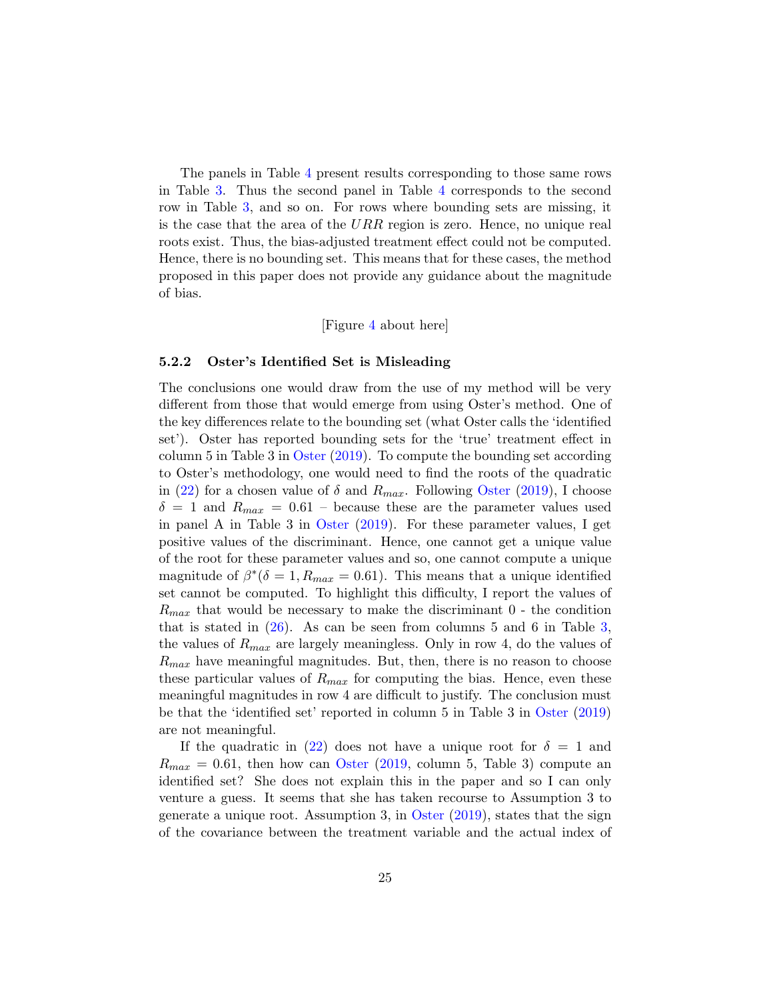The panels in Table [4](#page-34-0) present results corresponding to those same rows in Table [3.](#page-33-0) Thus the second panel in Table [4](#page-34-0) corresponds to the second row in Table [3,](#page-33-0) and so on. For rows where bounding sets are missing, it is the case that the area of the  $URR$  region is zero. Hence, no unique real roots exist. Thus, the bias-adjusted treatment effect could not be computed. Hence, there is no bounding set. This means that for these cases, the method proposed in this paper does not provide any guidance about the magnitude of bias.

#### [Figure [4](#page-38-0) about here]

#### 5.2.2 Oster's Identified Set is Misleading

The conclusions one would draw from the use of my method will be very different from those that would emerge from using Oster's method. One of the key differences relate to the bounding set (what Oster calls the 'identified set'). Oster has reported bounding sets for the 'true' treatment effect in column 5 in Table 3 in [Oster](#page-30-0) [\(2019\)](#page-30-0). To compute the bounding set according to Oster's methodology, one would need to find the roots of the quadratic in [\(22\)](#page-12-1) for a chosen value of  $\delta$  and  $R_{max}$ . Following [Oster](#page-30-0) [\(2019\)](#page-30-0), I choose  $\delta = 1$  and  $R_{max} = 0.61$  – because these are the parameter values used in panel A in Table 3 in [Oster](#page-30-0) [\(2019\)](#page-30-0). For these parameter values, I get positive values of the discriminant. Hence, one cannot get a unique value of the root for these parameter values and so, one cannot compute a unique magnitude of  $\beta^*(\delta = 1, R_{max} = 0.61)$ . This means that a unique identified set cannot be computed. To highlight this difficulty, I report the values of  $R_{max}$  that would be necessary to make the discriminant  $0$  - the condition that is stated in  $(26)$ . As can be seen from columns 5 and 6 in Table [3,](#page-33-0) the values of  $R_{max}$  are largely meaningless. Only in row 4, do the values of  $R_{max}$  have meaningful magnitudes. But, then, there is no reason to choose these particular values of  $R_{max}$  for computing the bias. Hence, even these meaningful magnitudes in row 4 are difficult to justify. The conclusion must be that the 'identified set' reported in column 5 in Table 3 in [Oster](#page-30-0) [\(2019\)](#page-30-0) are not meaningful.

If the quadratic in [\(22\)](#page-12-1) does not have a unique root for  $\delta = 1$  and  $R_{max} = 0.61$ , then how can [Oster](#page-30-0) [\(2019,](#page-30-0) column 5, Table 3) compute an identified set? She does not explain this in the paper and so I can only venture a guess. It seems that she has taken recourse to Assumption 3 to generate a unique root. Assumption 3, in [Oster](#page-30-0) [\(2019\)](#page-30-0), states that the sign of the covariance between the treatment variable and the actual index of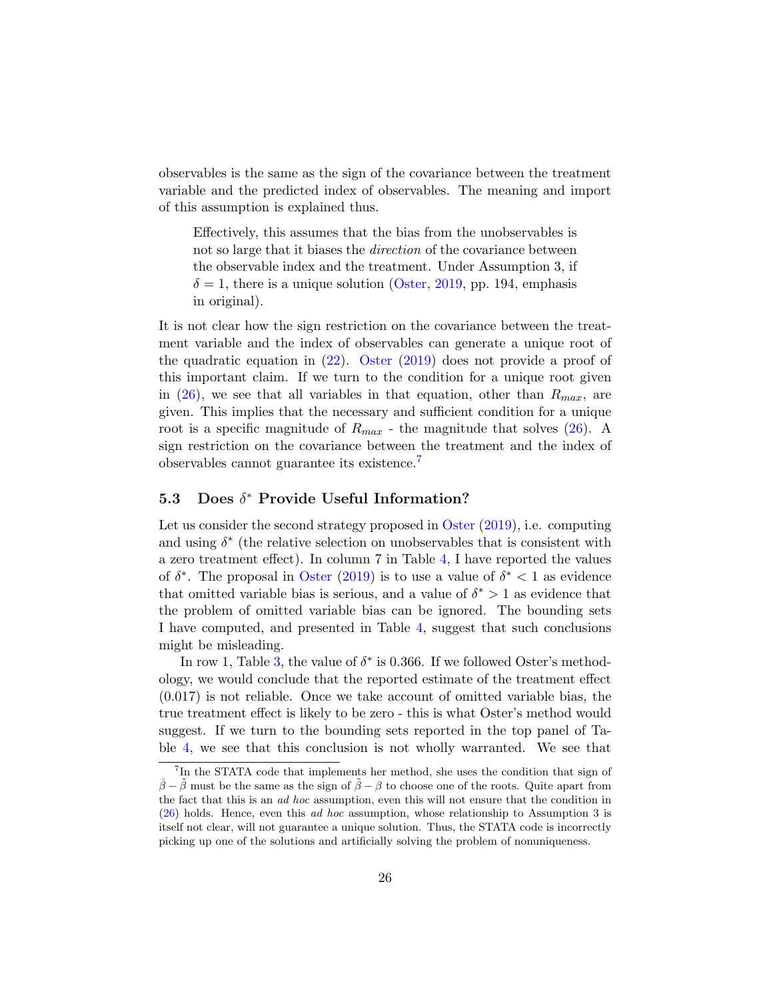observables is the same as the sign of the covariance between the treatment variable and the predicted index of observables. The meaning and import of this assumption is explained thus.

Effectively, this assumes that the bias from the unobservables is not so large that it biases the *direction* of the covariance between the observable index and the treatment. Under Assumption 3, if  $\delta = 1$ , there is a unique solution [\(Oster,](#page-30-0) [2019,](#page-30-0) pp. 194, emphasis in original).

It is not clear how the sign restriction on the covariance between the treatment variable and the index of observables can generate a unique root of the quadratic equation in [\(22\)](#page-12-1). [Oster](#page-30-0) [\(2019\)](#page-30-0) does not provide a proof of this important claim. If we turn to the condition for a unique root given in  $(26)$ , we see that all variables in that equation, other than  $R_{max}$ , are given. This implies that the necessary and sufficient condition for a unique root is a specific magnitude of  $R_{max}$  - the magnitude that solves [\(26\)](#page-14-2). A sign restriction on the covariance between the treatment and the index of observables cannot guarantee its existence.[7](#page-1-0)

### 5.3 Does  $\delta^*$  Provide Useful Information?

Let us consider the second strategy proposed in [Oster](#page-30-0) [\(2019\)](#page-30-0), i.e. computing and using  $\delta^*$  (the relative selection on unobservables that is consistent with a zero treatment effect). In column 7 in Table [4,](#page-34-0) I have reported the values of  $\delta^*$ . The proposal in [Oster](#page-30-0) [\(2019\)](#page-30-0) is to use a value of  $\delta^*$  < 1 as evidence that omitted variable bias is serious, and a value of  $\delta^* > 1$  as evidence that the problem of omitted variable bias can be ignored. The bounding sets I have computed, and presented in Table [4,](#page-34-0) suggest that such conclusions might be misleading.

In row 1, Table [3,](#page-33-0) the value of  $\delta^*$  is 0.366. If we followed Oster's methodology, we would conclude that the reported estimate of the treatment effect (0.017) is not reliable. Once we take account of omitted variable bias, the true treatment effect is likely to be zero - this is what Oster's method would suggest. If we turn to the bounding sets reported in the top panel of Table [4,](#page-34-0) we see that this conclusion is not wholly warranted. We see that

<sup>&</sup>lt;sup>7</sup>In the STATA code that implements her method, she uses the condition that sign of  $\beta - \tilde{\beta}$  must be the same as the sign of  $\tilde{\beta} - \beta$  to choose one of the roots. Quite apart from the fact that this is an ad hoc assumption, even this will not ensure that the condition in [\(26\)](#page-14-2) holds. Hence, even this ad hoc assumption, whose relationship to Assumption 3 is itself not clear, will not guarantee a unique solution. Thus, the STATA code is incorrectly picking up one of the solutions and artificially solving the problem of nonuniqueness.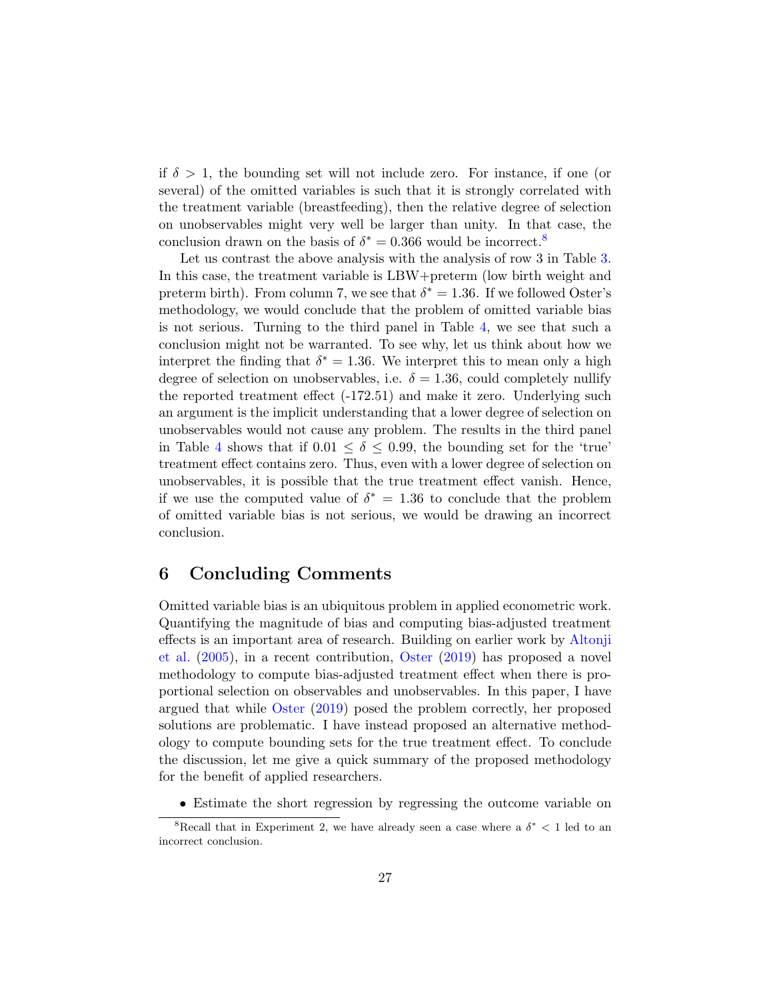if  $\delta > 1$ , the bounding set will not include zero. For instance, if one (or several) of the omitted variables is such that it is strongly correlated with the treatment variable (breastfeeding), then the relative degree of selection on unobservables might very well be larger than unity. In that case, the conclusion drawn on the basis of  $\delta^* = 0.366$  would be incorrect.<sup>[8](#page-1-0)</sup>

Let us contrast the above analysis with the analysis of row 3 in Table [3.](#page-33-0) In this case, the treatment variable is LBW+preterm (low birth weight and preterm birth). From column 7, we see that  $\delta^* = 1.36$ . If we followed Oster's methodology, we would conclude that the problem of omitted variable bias is not serious. Turning to the third panel in Table [4,](#page-34-0) we see that such a conclusion might not be warranted. To see why, let us think about how we interpret the finding that  $\delta^* = 1.36$ . We interpret this to mean only a high degree of selection on unobservables, i.e.  $\delta = 1.36$ , could completely nullify the reported treatment effect (-172.51) and make it zero. Underlying such an argument is the implicit understanding that a lower degree of selection on unobservables would not cause any problem. The results in the third panel in Table [4](#page-34-0) shows that if  $0.01 \le \delta \le 0.99$ , the bounding set for the 'true' treatment effect contains zero. Thus, even with a lower degree of selection on unobservables, it is possible that the true treatment effect vanish. Hence, if we use the computed value of  $\delta^* = 1.36$  to conclude that the problem of omitted variable bias is not serious, we would be drawing an incorrect conclusion.

### <span id="page-27-0"></span>6 Concluding Comments

Omitted variable bias is an ubiquitous problem in applied econometric work. Quantifying the magnitude of bias and computing bias-adjusted treatment effects is an important area of research. Building on earlier work by [Altonji](#page-29-1) [et al.](#page-29-1) [\(2005\)](#page-29-1), in a recent contribution, [Oster](#page-30-0) [\(2019\)](#page-30-0) has proposed a novel methodology to compute bias-adjusted treatment effect when there is proportional selection on observables and unobservables. In this paper, I have argued that while [Oster](#page-30-0) [\(2019\)](#page-30-0) posed the problem correctly, her proposed solutions are problematic. I have instead proposed an alternative methodology to compute bounding sets for the true treatment effect. To conclude the discussion, let me give a quick summary of the proposed methodology for the benefit of applied researchers.

• Estimate the short regression by regressing the outcome variable on

<sup>&</sup>lt;sup>8</sup>Recall that in Experiment 2, we have already seen a case where a  $\delta^*$  < 1 led to an incorrect conclusion.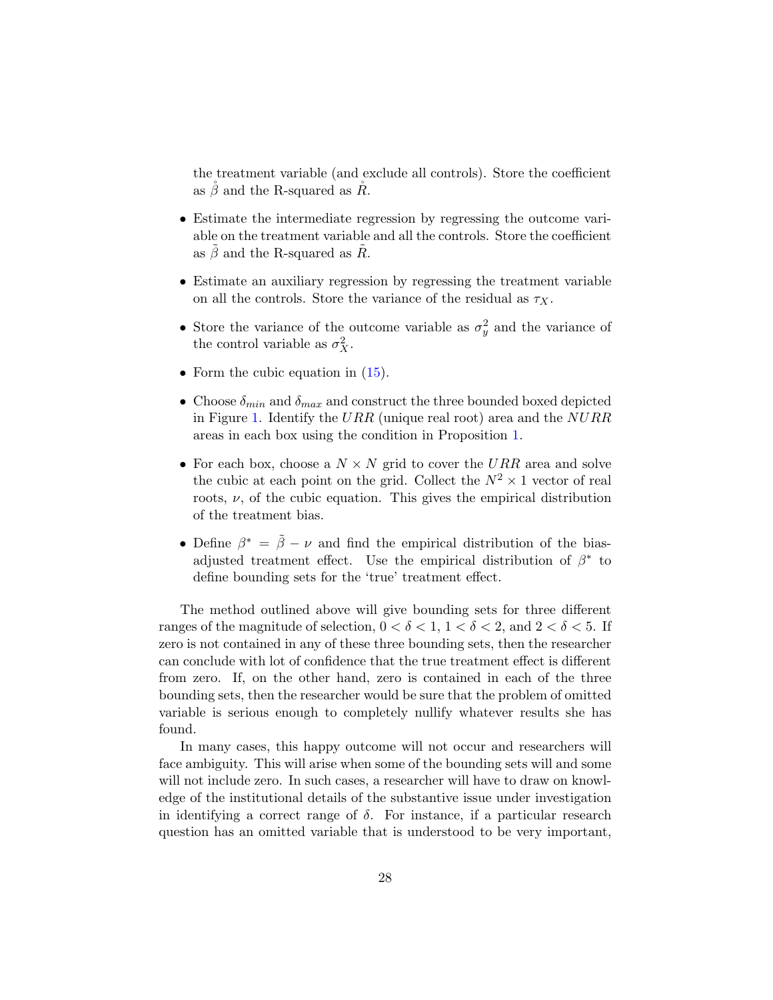the treatment variable (and exclude all controls). Store the coefficient as  $\beta$  and the R-squared as  $\ddot{R}$ .

- Estimate the intermediate regression by regressing the outcome variable on the treatment variable and all the controls. Store the coefficient as  $\beta$  and the R-squared as  $\ddot{R}$ .
- Estimate an auxiliary regression by regressing the treatment variable on all the controls. Store the variance of the residual as  $\tau_X$ .
- Store the variance of the outcome variable as  $\sigma_y^2$  and the variance of the control variable as  $\sigma_X^2$ .
- Form the cubic equation in  $(15)$ .
- Choose  $\delta_{min}$  and  $\delta_{max}$  and construct the three bounded boxed depicted in Figure [1.](#page-35-0) Identify the URR (unique real root) area and the  $NURR$ areas in each box using the condition in Proposition [1.](#page-9-1)
- For each box, choose a  $N \times N$  grid to cover the URR area and solve the cubic at each point on the grid. Collect the  $N^2 \times 1$  vector of real roots,  $\nu$ , of the cubic equation. This gives the empirical distribution of the treatment bias.
- Define  $\beta^* = \tilde{\beta} \nu$  and find the empirical distribution of the biasadjusted treatment effect. Use the empirical distribution of  $\beta^*$  to define bounding sets for the 'true' treatment effect.

The method outlined above will give bounding sets for three different ranges of the magnitude of selection,  $0 < \delta < 1$ ,  $1 < \delta < 2$ , and  $2 < \delta < 5$ . If zero is not contained in any of these three bounding sets, then the researcher can conclude with lot of confidence that the true treatment effect is different from zero. If, on the other hand, zero is contained in each of the three bounding sets, then the researcher would be sure that the problem of omitted variable is serious enough to completely nullify whatever results she has found.

In many cases, this happy outcome will not occur and researchers will face ambiguity. This will arise when some of the bounding sets will and some will not include zero. In such cases, a researcher will have to draw on knowledge of the institutional details of the substantive issue under investigation in identifying a correct range of  $\delta$ . For instance, if a particular research question has an omitted variable that is understood to be very important,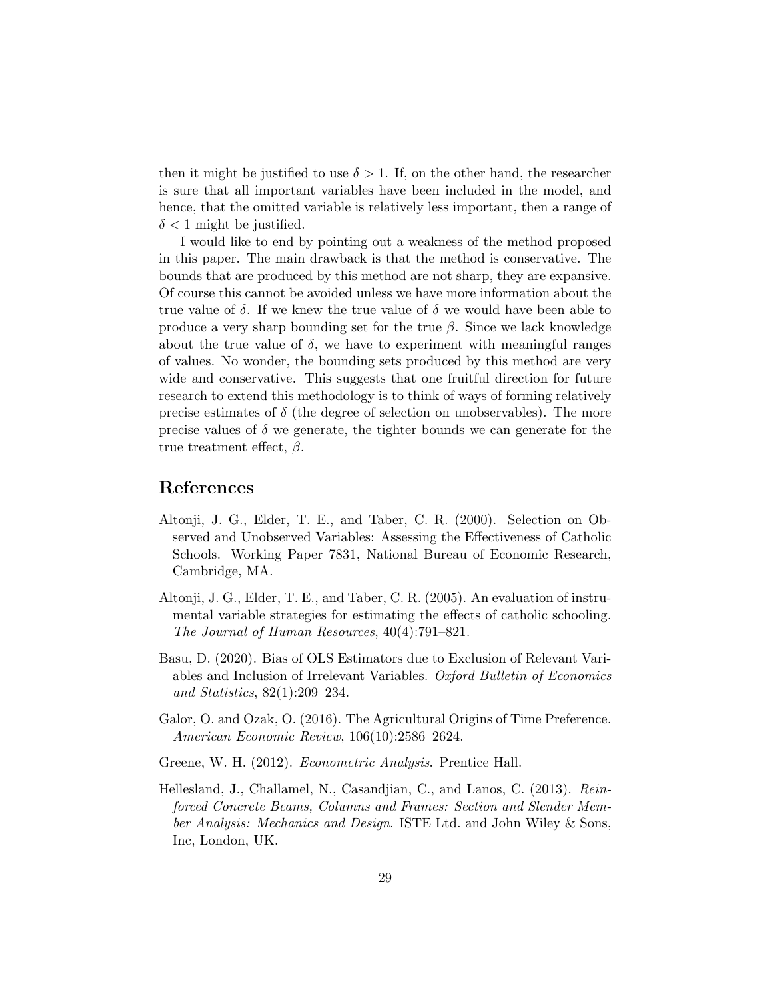then it might be justified to use  $\delta > 1$ . If, on the other hand, the researcher is sure that all important variables have been included in the model, and hence, that the omitted variable is relatively less important, then a range of  $\delta$  < 1 might be justified.

I would like to end by pointing out a weakness of the method proposed in this paper. The main drawback is that the method is conservative. The bounds that are produced by this method are not sharp, they are expansive. Of course this cannot be avoided unless we have more information about the true value of  $\delta$ . If we knew the true value of  $\delta$  we would have been able to produce a very sharp bounding set for the true  $\beta$ . Since we lack knowledge about the true value of  $\delta$ , we have to experiment with meaningful ranges of values. No wonder, the bounding sets produced by this method are very wide and conservative. This suggests that one fruitful direction for future research to extend this methodology is to think of ways of forming relatively precise estimates of  $\delta$  (the degree of selection on unobservables). The more precise values of  $\delta$  we generate, the tighter bounds we can generate for the true treatment effect,  $\beta$ .

### References

- <span id="page-29-0"></span>Altonji, J. G., Elder, T. E., and Taber, C. R. (2000). Selection on Observed and Unobserved Variables: Assessing the Effectiveness of Catholic Schools. Working Paper 7831, National Bureau of Economic Research, Cambridge, MA.
- <span id="page-29-1"></span>Altonji, J. G., Elder, T. E., and Taber, C. R. (2005). An evaluation of instrumental variable strategies for estimating the effects of catholic schooling. The Journal of Human Resources, 40(4):791–821.
- <span id="page-29-2"></span>Basu, D. (2020). Bias of OLS Estimators due to Exclusion of Relevant Variables and Inclusion of Irrelevant Variables. Oxford Bulletin of Economics and Statistics, 82(1):209–234.
- <span id="page-29-3"></span>Galor, O. and Ozak, O. (2016). The Agricultural Origins of Time Preference. American Economic Review, 106(10):2586–2624.
- <span id="page-29-4"></span>Greene, W. H. (2012). *Econometric Analysis*. Prentice Hall.
- <span id="page-29-5"></span>Hellesland, J., Challamel, N., Casandjian, C., and Lanos, C. (2013). Reinforced Concrete Beams, Columns and Frames: Section and Slender Member Analysis: Mechanics and Design. ISTE Ltd. and John Wiley & Sons, Inc, London, UK.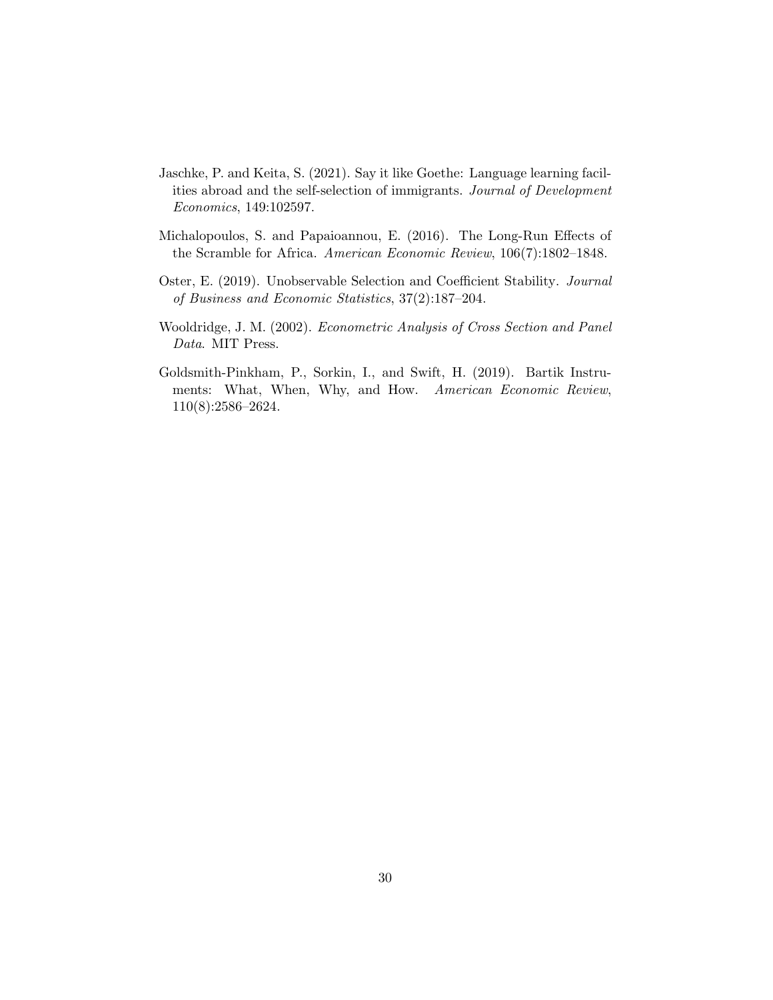- <span id="page-30-3"></span>Jaschke, P. and Keita, S. (2021). Say it like Goethe: Language learning facilities abroad and the self-selection of immigrants. Journal of Development Economics, 149:102597.
- <span id="page-30-1"></span>Michalopoulos, S. and Papaioannou, E. (2016). The Long-Run Effects of the Scramble for Africa. American Economic Review, 106(7):1802–1848.
- <span id="page-30-0"></span>Oster, E. (2019). Unobservable Selection and Coefficient Stability. Journal of Business and Economic Statistics, 37(2):187–204.
- <span id="page-30-4"></span>Wooldridge, J. M. (2002). Econometric Analysis of Cross Section and Panel Data. MIT Press.
- <span id="page-30-2"></span>Goldsmith-Pinkham, P., Sorkin, I., and Swift, H. (2019). Bartik Instruments: What, When, Why, and How. American Economic Review, 110(8):2586–2624.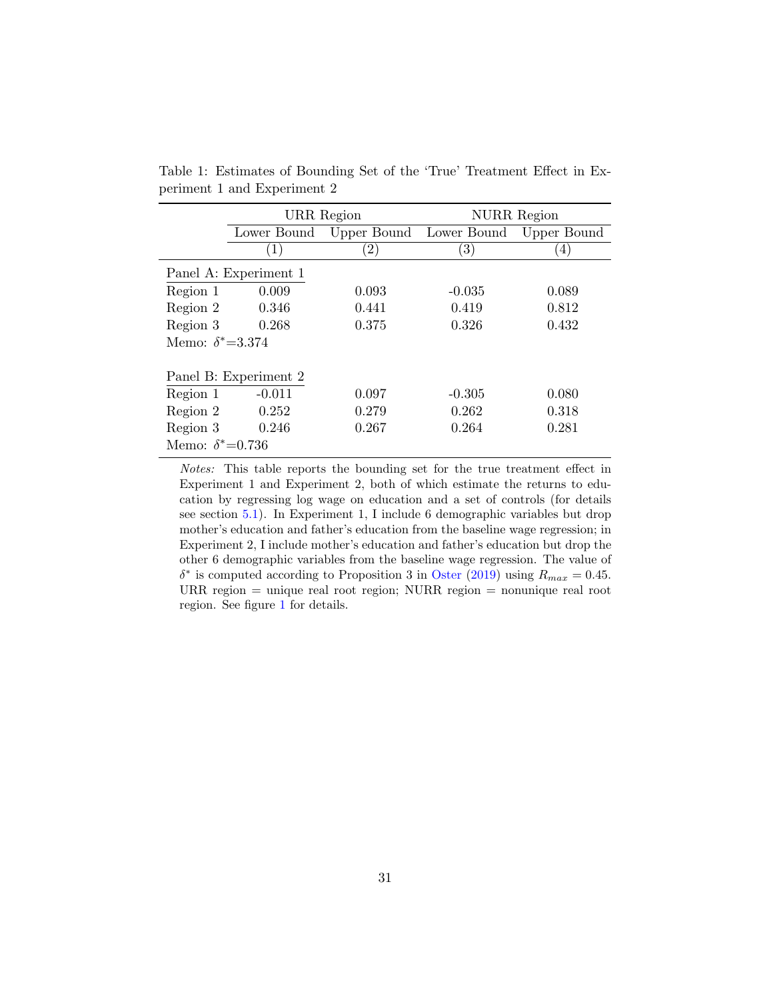|                          | URR Region            |             | <b>NURR</b> Region |             |  |  |  |
|--------------------------|-----------------------|-------------|--------------------|-------------|--|--|--|
|                          | Lower Bound           | Upper Bound | Lower Bound        | Upper Bound |  |  |  |
|                          | (1)                   | (2)         | $\left( 3\right)$  | 4)          |  |  |  |
|                          | Panel A: Experiment 1 |             |                    |             |  |  |  |
| Region 1                 | 0.009                 | 0.093       | $-0.035$           | 0.089       |  |  |  |
| Region 2                 | 0.346                 | 0.441       | 0.419              | 0.812       |  |  |  |
| Region 3                 | 0.268                 | 0.375       | 0.326              | 0.432       |  |  |  |
| Memo: $\delta^* = 3.374$ |                       |             |                    |             |  |  |  |
|                          | Panel B: Experiment 2 |             |                    |             |  |  |  |
| Region 1                 | $-0.011$              | 0.097       | $-0.305$           | 0.080       |  |  |  |
| Region 2                 | 0.252                 | 0.279       | 0.262              | 0.318       |  |  |  |
| Region 3                 | 0.246                 | 0.267       | 0.264              | 0.281       |  |  |  |
| Memo: $\delta^* = 0.736$ |                       |             |                    |             |  |  |  |

<span id="page-31-0"></span>Table 1: Estimates of Bounding Set of the 'True' Treatment Effect in Experiment 1 and Experiment 2

Notes: This table reports the bounding set for the true treatment effect in Experiment 1 and Experiment 2, both of which estimate the returns to education by regressing log wage on education and a set of controls (for details see section [5.1\)](#page-18-0). In Experiment 1, I include 6 demographic variables but drop mother's education and father's education from the baseline wage regression; in Experiment 2, I include mother's education and father's education but drop the other 6 demographic variables from the baseline wage regression. The value of  $\delta^*$  is computed according to Proposition 3 in [Oster](#page-30-0) [\(2019\)](#page-30-0) using  $R_{max} = 0.45$ . URR region = unique real root region; NURR region = nonunique real root region. See figure [1](#page-35-0) for details.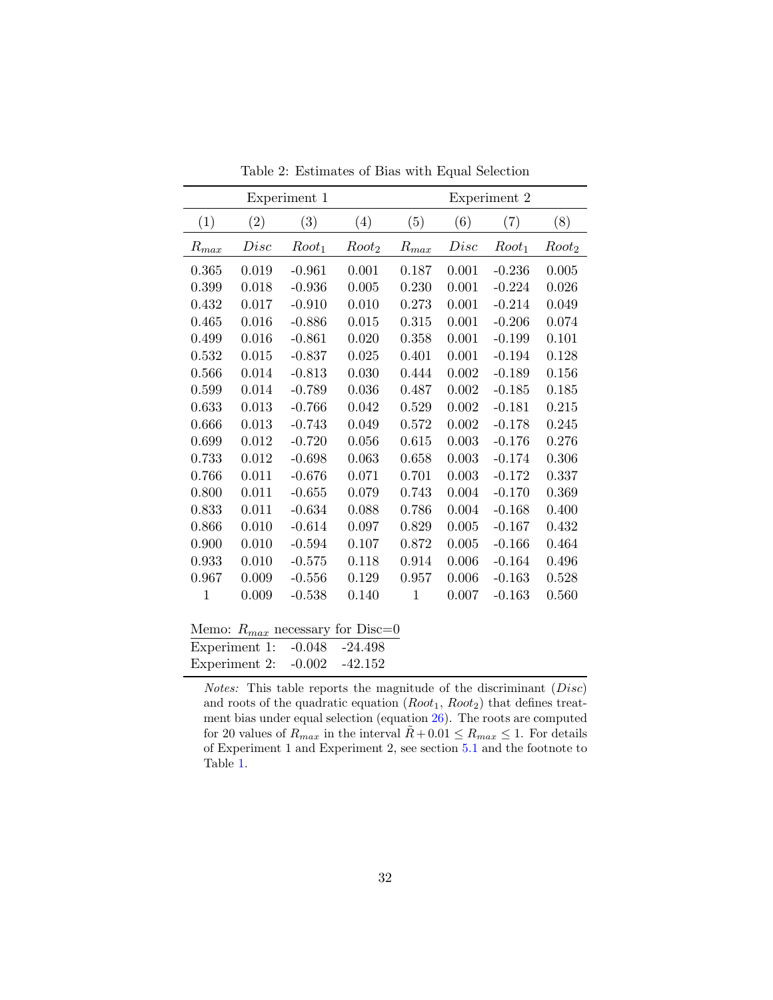|                         |             | Experiment 1 |                   | Experiment 2 |       |          |                   |
|-------------------------|-------------|--------------|-------------------|--------------|-------|----------|-------------------|
| (1)                     | (2)         | (3)          | (4)               | (5)          | (6)   | (7)      | (8)               |
| $R_{max}$               | Disc        | $Root_1$     | Root <sub>2</sub> | $R_{max}$    | Disc  | $Root_1$ | Root <sub>2</sub> |
| 0.365                   | 0.019       | $-0.961$     | 0.001             | 0.187        | 0.001 | $-0.236$ | 0.005             |
| 0.399                   | 0.018       | $-0.936$     | 0.005             | 0.230        | 0.001 | $-0.224$ | 0.026             |
| 0.432                   | 0.017       | $-0.910$     | 0.010             | 0.273        | 0.001 | $-0.214$ | 0.049             |
| 0.465                   | 0.016       | $-0.886$     | 0.015             | 0.315        | 0.001 | $-0.206$ | 0.074             |
| 0.499                   | 0.016       | $-0.861$     | 0.020             | 0.358        | 0.001 | $-0.199$ | 0.101             |
| 0.532                   | 0.015       | $-0.837$     | 0.025             | 0.401        | 0.001 | $-0.194$ | 0.128             |
| 0.566                   | 0.014       | $-0.813$     | 0.030             | 0.444        | 0.002 | $-0.189$ | 0.156             |
| 0.599                   | 0.014       | $-0.789$     | 0.036             | 0.487        | 0.002 | $-0.185$ | 0.185             |
| 0.633                   | 0.013       | $-0.766$     | 0.042             | 0.529        | 0.002 | $-0.181$ | 0.215             |
| 0.666                   | $\,0.013\,$ | $-0.743$     | 0.049             | $0.572\,$    | 0.002 | $-0.178$ | 0.245             |
| 0.699                   | 0.012       | $-0.720$     | 0.056             | 0.615        | 0.003 | $-0.176$ | 0.276             |
| 0.733                   | 0.012       | $-0.698$     | 0.063             | 0.658        | 0.003 | $-0.174$ | 0.306             |
| 0.766                   | 0.011       | $-0.676$     | 0.071             | 0.701        | 0.003 | $-0.172$ | 0.337             |
| 0.800                   | 0.011       | $-0.655$     | 0.079             | 0.743        | 0.004 | $-0.170$ | 0.369             |
| 0.833                   | 0.011       | $-0.634$     | 0.088             | 0.786        | 0.004 | $-0.168$ | 0.400             |
| 0.866                   | 0.010       | $-0.614$     | 0.097             | 0.829        | 0.005 | $-0.167$ | 0.432             |
| 0.900                   | 0.010       | $-0.594$     | 0.107             | 0.872        | 0.005 | $-0.166$ | 0.464             |
| 0.933                   | 0.010       | $-0.575$     | 0.118             | 0.914        | 0.006 | $-0.164$ | 0.496             |
| 0.967                   | 0.009       | $-0.556$     | 0.129             | 0.957        | 0.006 | $-0.163$ | 0.528             |
| 1                       | 0.009       | $-0.538$     | 0.140             | 1            | 0.007 | $-0.163$ | 0.560             |
| <b>N</b> F <sub>-</sub> | D.          |              |                   | $\Omega$     |       |          |                   |

<span id="page-32-0"></span>Table 2: Estimates of Bias with Equal Selection

| Memo: $R_{max}$ necessary for Disc=0 |  |
|--------------------------------------|--|
| Experiment 1: -0.048 -24.498         |  |
| Experiment 2: -0.002 -42.152         |  |

Notes: This table reports the magnitude of the discriminant (Disc) and roots of the quadratic equation  $(Root_1, Root_2)$  that defines treatment bias under equal selection (equation [26\)](#page-14-2). The roots are computed for 20 values of  $R_{max}$  in the interval  $R + 0.01 \le R_{max} \le 1$ . For details of Experiment 1 and Experiment 2, see section [5.1](#page-18-0) and the footnote to Table [1.](#page-31-0)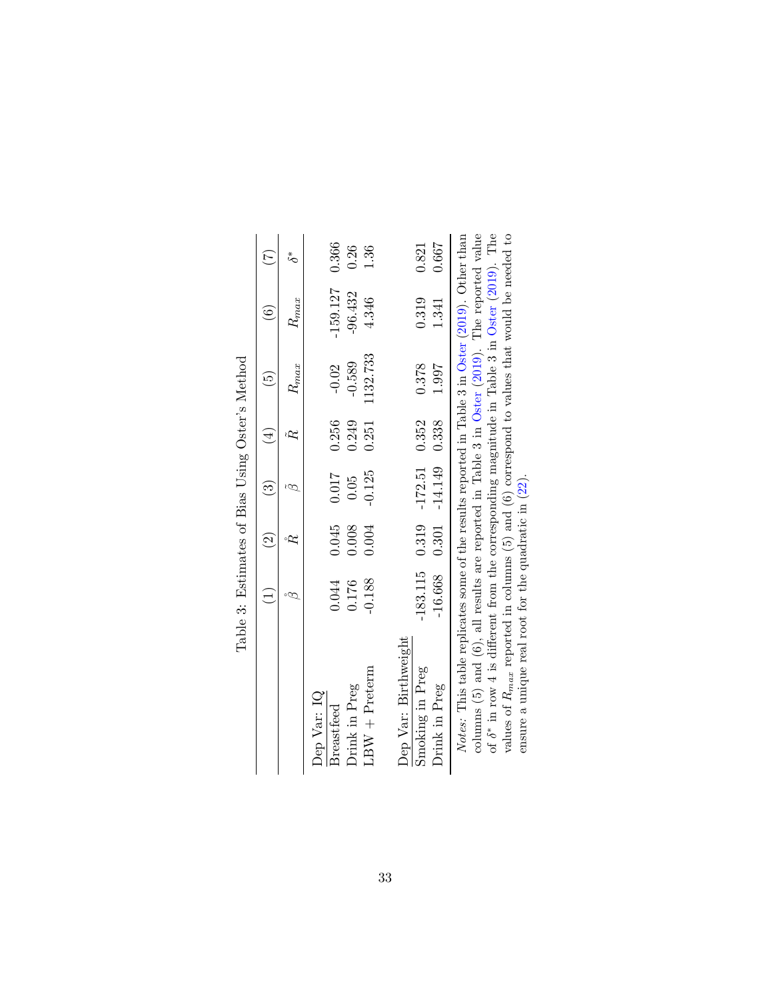|                                                                                                                                                                                                              |           | $\widehat{S}$ | $\odot$                                             | $\frac{1}{4}$ | ون<br>ا        | ۼ              | $\overline{A}$ |
|--------------------------------------------------------------------------------------------------------------------------------------------------------------------------------------------------------------|-----------|---------------|-----------------------------------------------------|---------------|----------------|----------------|----------------|
|                                                                                                                                                                                                              |           |               |                                                     |               | $K_{max}$      | $K_{max}$      | $\zeta^*$      |
| Dep Var: IQ<br>Breastfeed                                                                                                                                                                                    | 0.044     | 0.045         | 0.017                                               | 0.256         | $-0.02$        | $-159.127$     | 0.366          |
| Drink in Preg                                                                                                                                                                                                | 0.176     | 0.008         | 0.05                                                | 0.249         | $-0.589$       | $-96.432$      | 0.26           |
| $LBW + Preterm$                                                                                                                                                                                              | $-0.188$  | 0.004         | $-0.125$                                            | 0.251         | 1132.733       | 4.346          | 1.36           |
| Dep Var: Birthweight<br>Smoking in Preg<br>Drink in Preg                                                                                                                                                     | $-16.668$ | $0.301\,$     | $-183.115$ 0.319 $-172.51$ 0.352<br>$-14.149$ 0.338 |               | 0.378<br>1.997 | 0.319<br>1.341 | 0.667<br>0.821 |
| columns $(5)$ and $(6)$ , all results are reported in Table 3 in Oster (2019). The reported value<br><i>Notes:</i> This table replicates some of the results reported in Table 3 in Oster (2019). Other than |           |               |                                                     |               |                |                |                |

| I<br>Í                                   |
|------------------------------------------|
| I                                        |
| $\ddot{\phantom{a}}$<br>١<br>ı<br>İ<br>l |
| ا<br>ا<br>ı                              |
|                                          |
| ¢                                        |

<span id="page-33-0"></span>of  $\delta^*$  in row 4 is different from the corresponding magnitude in Table 3 in Oster (2019). The values of  $R_{max}$  reported in columns (5) and (6) correspond to values that would be needed to ensure a unique real root for columns (5) and (6), all results are reported in Table 3 in [Oster](#page-30-0) [\(2019\)](#page-30-0). The reported value of δ∗ in row 4 is different from the corresponding magnitude in Table 3 in [Oster](#page-30-0) [\(2019\)](#page-30-0). The values of  $R_{max}$  reported in columns (5) and (6) correspond to values that would be needed to ensure a unique real root for the quadratic in [\(22\)](#page-12-1).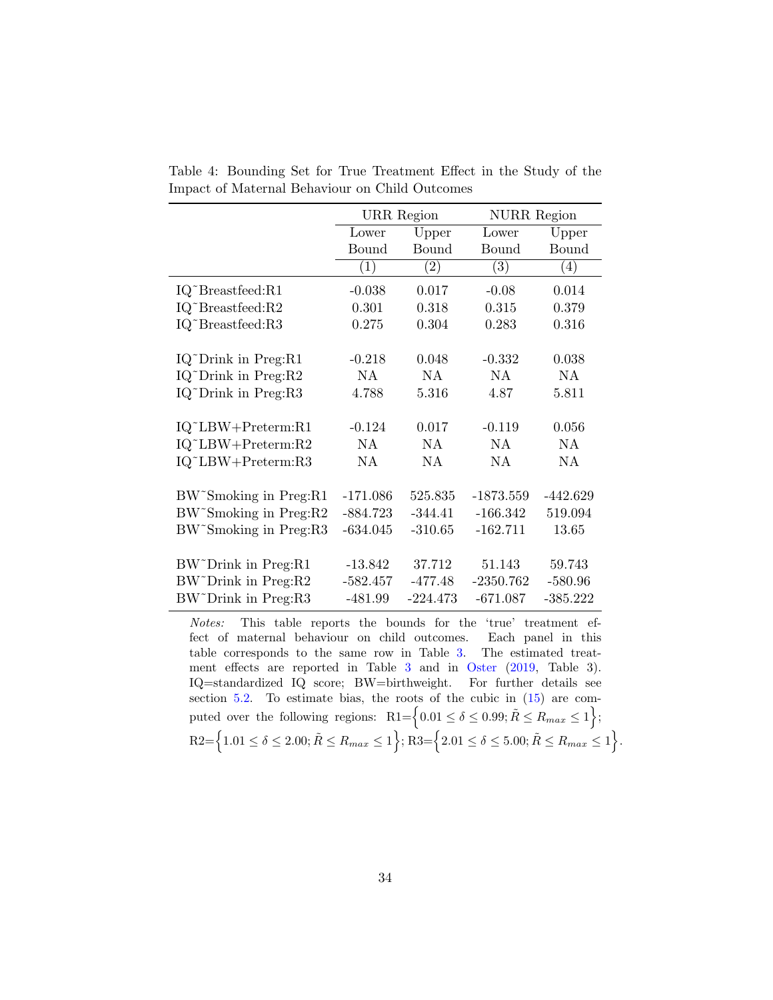|                                  |            | <b>URR</b> Region | <b>NURR</b> Region |            |
|----------------------------------|------------|-------------------|--------------------|------------|
|                                  | Lower      | Upper             | Lower              | Upper      |
|                                  | Bound      | Bound             | Bound              | Bound      |
|                                  | (1)        | $\left( 2\right)$ | (3)                | (4)        |
| IQ~Breastfeed:R1                 | $-0.038$   | 0.017             | $-0.08$            | 0.014      |
| IQ~Breastfeed:R2                 | 0.301      | 0.318             | 0.315              | 0.379      |
| IQ~Breastfeed:R3                 | 0.275      | 0.304             | 0.283              | 0.316      |
|                                  |            |                   |                    |            |
| IQ~Drink in Preg:R1              | $-0.218$   | 0.048             | $-0.332$           | 0.038      |
| IQ~Drink in Preg:R2              | NA         | <b>NA</b>         | NA                 | NA         |
| IQ~Drink in Preg:R3              | 4.788      | 5.316             | 4.87               | 5.811      |
| IQ~LBW+Preterm:R1                | $-0.124$   | 0.017             | $-0.119$           | 0.056      |
| $IQ^{\sim}LBW+Preterm:R2$        | NA         | NA.               | NA                 | NA         |
| IQ~LBW+Preterm:R3                | NA         | <b>NA</b>         | NA                 | NA         |
|                                  |            |                   |                    |            |
| BW~Smoking in Preg:R1            | $-171.086$ | 525.835           | $-1873.559$        | $-442.629$ |
| BW~Smoking in Preg:R2            | $-884.723$ | $-344.41$         | $-166.342$         | 519.094    |
| BW~Smoking in Preg:R3            | $-634.045$ | $-310.65$         | $-162.711$         | 13.65      |
| BW~Drink in Preg:R1              | $-13.842$  | 37.712            | 51.143             | 59.743     |
|                                  |            |                   |                    |            |
| BW~Drink in Preg:R2              | $-582.457$ | $-477.48$         | $-2350.762$        | $-580.96$  |
| BW <sup>~</sup> Drink in Preg:R3 | $-481.99$  | $-224.473$        | $-671.087$         | $-385.222$ |

<span id="page-34-0"></span>Table 4: Bounding Set for True Treatment Effect in the Study of the Impact of Maternal Behaviour on Child Outcomes

Notes: This table reports the bounds for the 'true' treatment effect of maternal behaviour on child outcomes. Each panel in this table corresponds to the same row in Table [3.](#page-33-0) The estimated treatment effects are reported in Table [3](#page-33-0) and in [Oster](#page-30-0) [\(2019,](#page-30-0) Table 3). IQ=standardized IQ score; BW=birthweight. For further details see section  $5.2$ . To estimate bias, the roots of the cubic in  $(15)$  are computed over the following regions:  $R1 = \left\{0.01 \le \delta \le 0.99; \tilde{R} \le R_{max} \le 1\right\};$  $R2 = \Big\{1.01 \leq \delta \leq 2.00; \tilde{R} \leq R_{max} \leq 1\Big\}; R3 = \Big\{2.01 \leq \delta \leq 5.00; \tilde{R} \leq R_{max} \leq 1\Big\}.$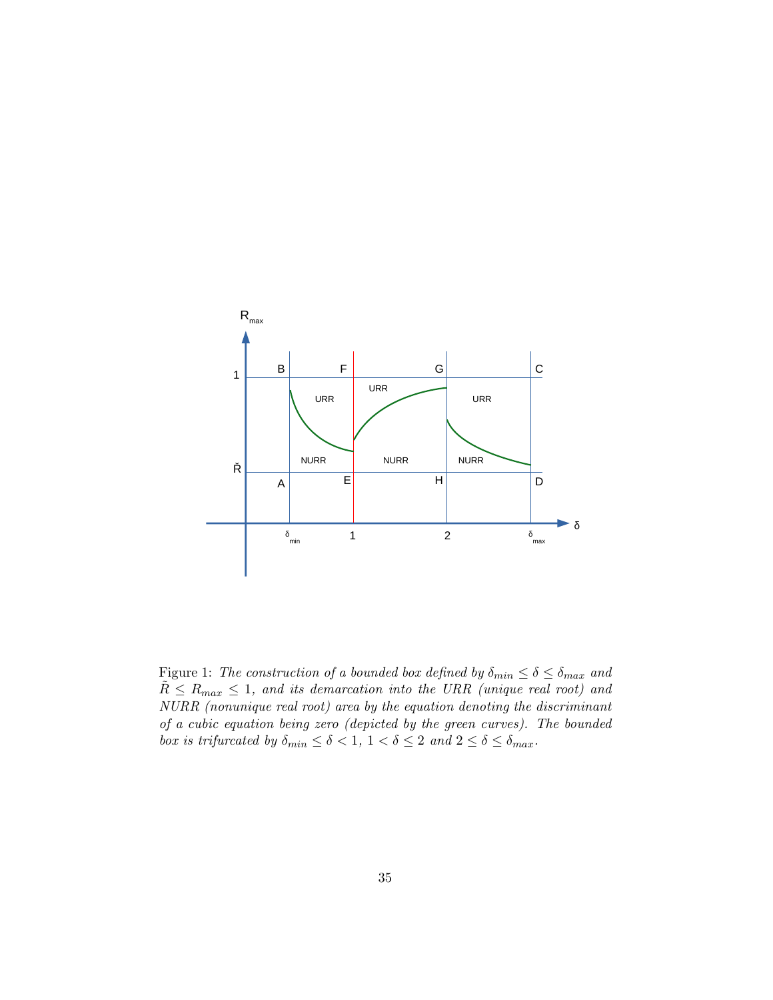

<span id="page-35-0"></span>Figure 1: The construction of a bounded box defined by  $\delta_{min} \leq \delta \leq \delta_{max}$  and  $\tilde{R} \le R_{max} \le 1$ , and its demarcation into the URR (unique real root) and NURR (nonunique real root) area by the equation denoting the discriminant of a cubic equation being zero (depicted by the green curves). The bounded box is trifurcated by  $\delta_{min} \leq \delta < 1, \ 1 < \delta \leq 2 \ and \ 2 \leq \delta \leq \delta_{max}.$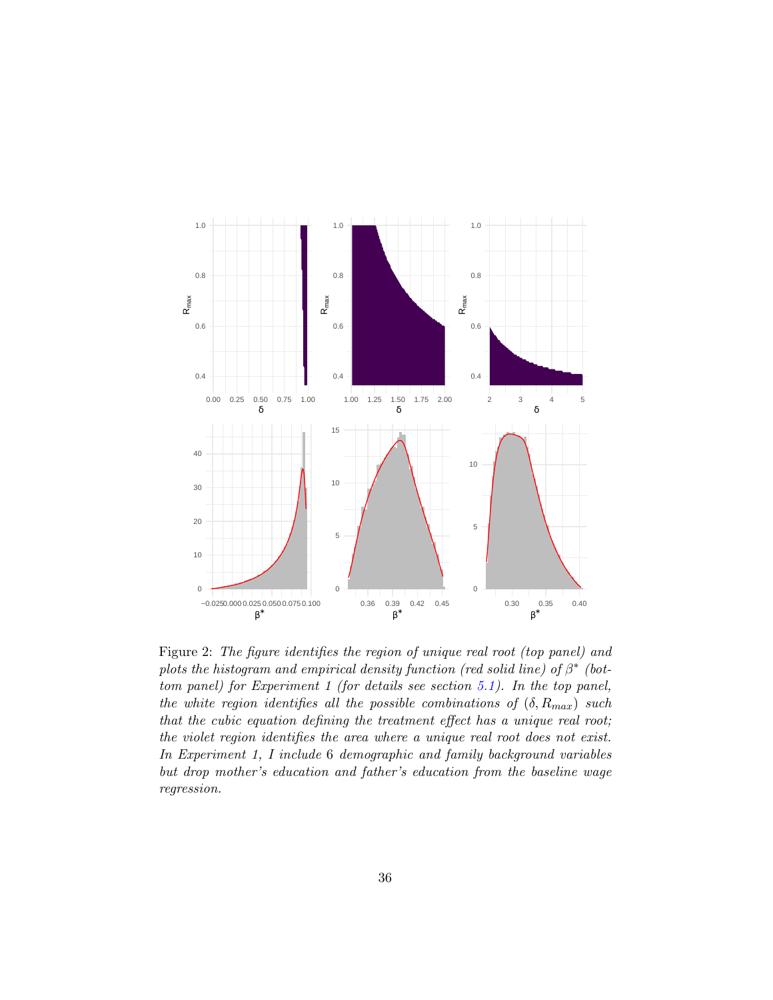

<span id="page-36-0"></span>Figure 2: The figure identifies the region of unique real root (top panel) and plots the histogram and empirical density function (red solid line) of  $\beta^*$  (bottom panel) for Experiment 1 (for details see section [5.1\)](#page-18-0). In the top panel, the white region identifies all the possible combinations of  $(\delta, R_{max})$  such that the cubic equation defining the treatment effect has a unique real root; the violet region identifies the area where a unique real root does not exist. In Experiment 1, I include 6 demographic and family background variables but drop mother's education and father's education from the baseline wage regression.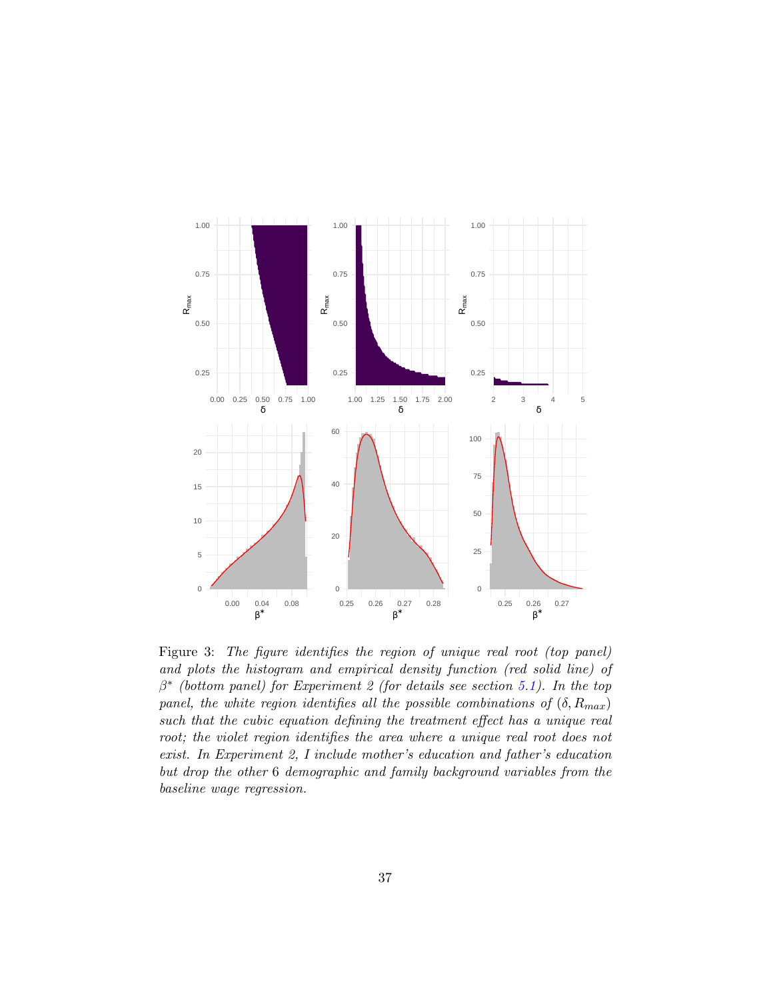

<span id="page-37-0"></span>Figure 3: The figure identifies the region of unique real root (top panel) and plots the histogram and empirical density function (red solid line) of  $\beta^*$  (bottom panel) for Experiment 2 (for details see section [5.1\)](#page-18-0). In the top panel, the white region identifies all the possible combinations of  $(\delta, R_{max})$ such that the cubic equation defining the treatment effect has a unique real root; the violet region identifies the area where a unique real root does not exist. In Experiment 2, I include mother's education and father's education but drop the other 6 demographic and family background variables from the baseline wage regression.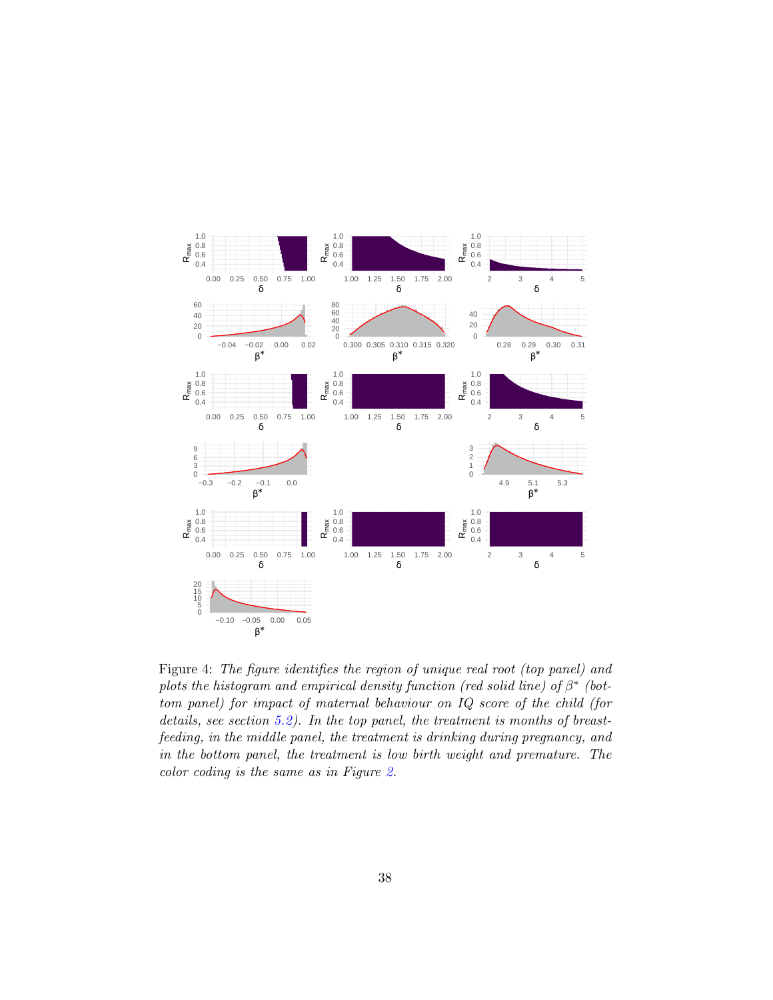

<span id="page-38-0"></span>Figure 4: The figure identifies the region of unique real root (top panel) and plots the histogram and empirical density function (red solid line) of  $\beta^*$  (bottom panel) for impact of maternal behaviour on IQ score of the child (for details, see section [5.2\)](#page-23-0). In the top panel, the treatment is months of breastfeeding, in the middle panel, the treatment is drinking during pregnancy, and in the bottom panel, the treatment is low birth weight and premature. The color coding is the same as in Figure [2.](#page-36-0)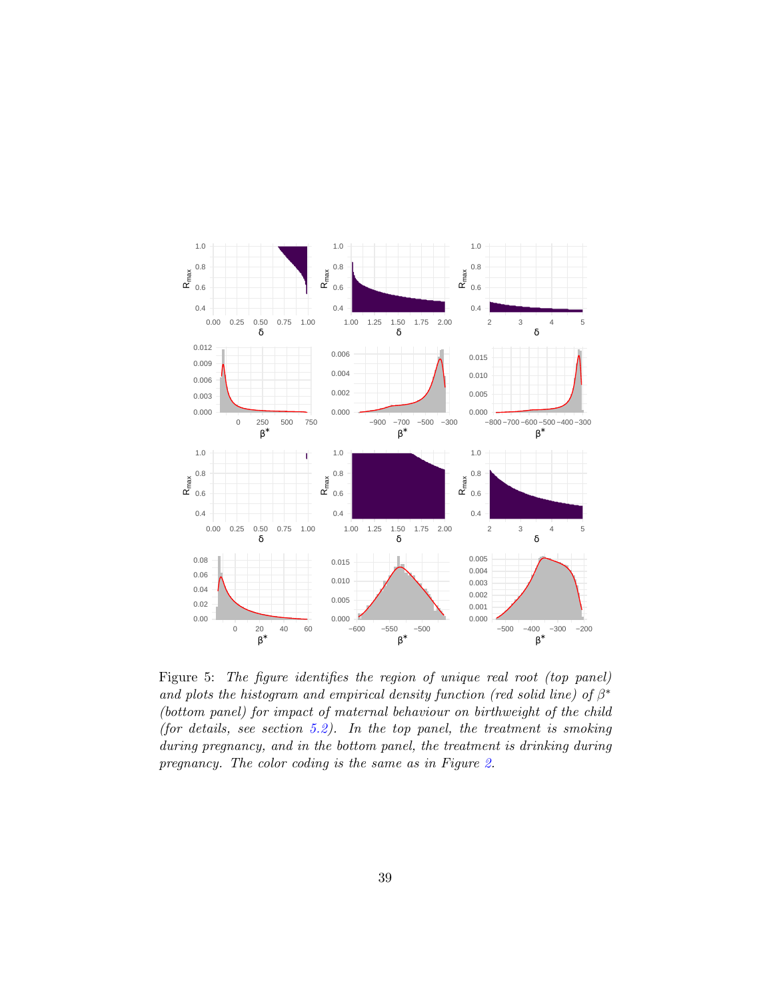

<span id="page-39-0"></span>Figure 5: The figure identifies the region of unique real root (top panel) and plots the histogram and empirical density function (red solid line) of  $\beta^*$ (bottom panel) for impact of maternal behaviour on birthweight of the child (for details, see section  $5.2$ ). In the top panel, the treatment is smoking during pregnancy, and in the bottom panel, the treatment is drinking during pregnancy. The color coding is the same as in Figure [2.](#page-36-0)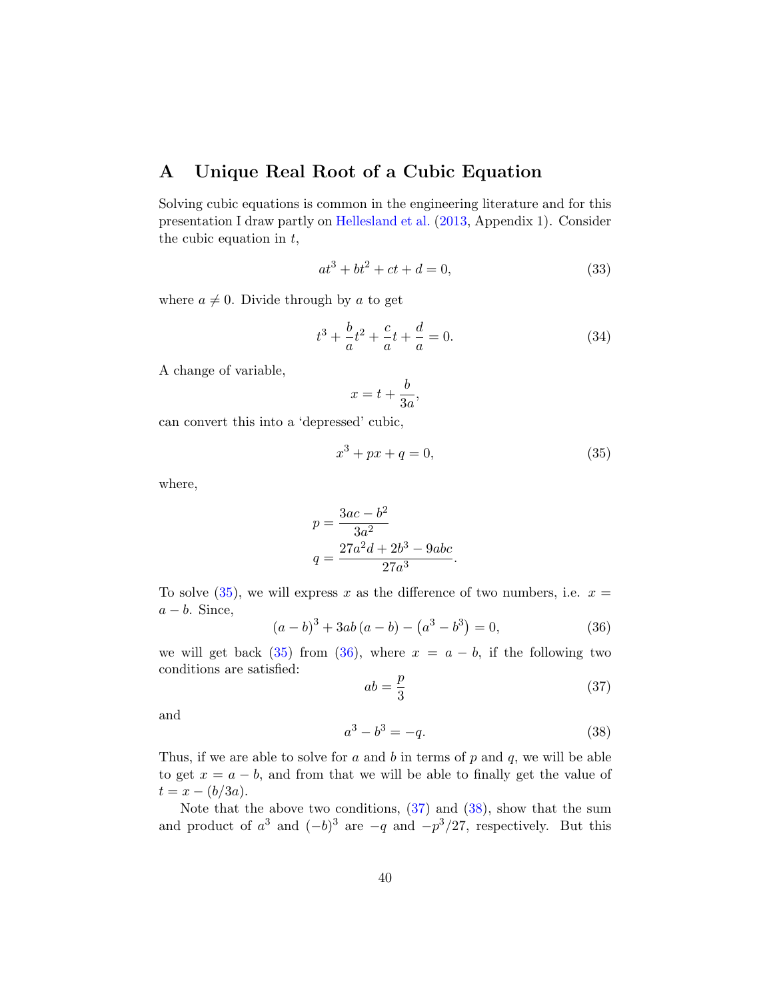## A Unique Real Root of a Cubic Equation

Solving cubic equations is common in the engineering literature and for this presentation I draw partly on [Hellesland et al.](#page-29-5) [\(2013,](#page-29-5) Appendix 1). Consider the cubic equation in  $t$ ,

<span id="page-40-4"></span>
$$
at^3 + bt^2 + ct + d = 0,\t(33)
$$

where  $a \neq 0$ . Divide through by a to get

$$
t^3 + \frac{b}{a}t^2 + \frac{c}{a}t + \frac{d}{a} = 0.
$$
 (34)

A change of variable,

$$
x = t + \frac{b}{3a},
$$

can convert this into a 'depressed' cubic,

<span id="page-40-0"></span>
$$
x^3 + px + q = 0,\t\t(35)
$$

where,

$$
p = \frac{3ac - b^2}{3a^2}
$$

$$
q = \frac{27a^2d + 2b^3 - 9abc}{27a^3}
$$

To solve  $(35)$ , we will express x as the difference of two numbers, i.e.  $x =$  $a - b$ . Since,

<span id="page-40-1"></span>
$$
(a-b)^3 + 3ab(a-b) - (a^3 - b^3) = 0,
$$
\n(36)

.

we will get back [\(35\)](#page-40-0) from [\(36\)](#page-40-1), where  $x = a - b$ , if the following two conditions are satisfied:

<span id="page-40-2"></span>
$$
ab = \frac{p}{3} \tag{37}
$$

and

<span id="page-40-3"></span>
$$
a^3 - b^3 = -q.\t\t(38)
$$

Thus, if we are able to solve for  $a$  and  $b$  in terms of  $p$  and  $q$ , we will be able to get  $x = a - b$ , and from that we will be able to finally get the value of  $t = x - (b/3a).$ 

Note that the above two conditions, [\(37\)](#page-40-2) and [\(38\)](#page-40-3), show that the sum and product of  $a^3$  and  $(-b)^3$  are  $-q$  and  $-p^3/27$ , respectively. But this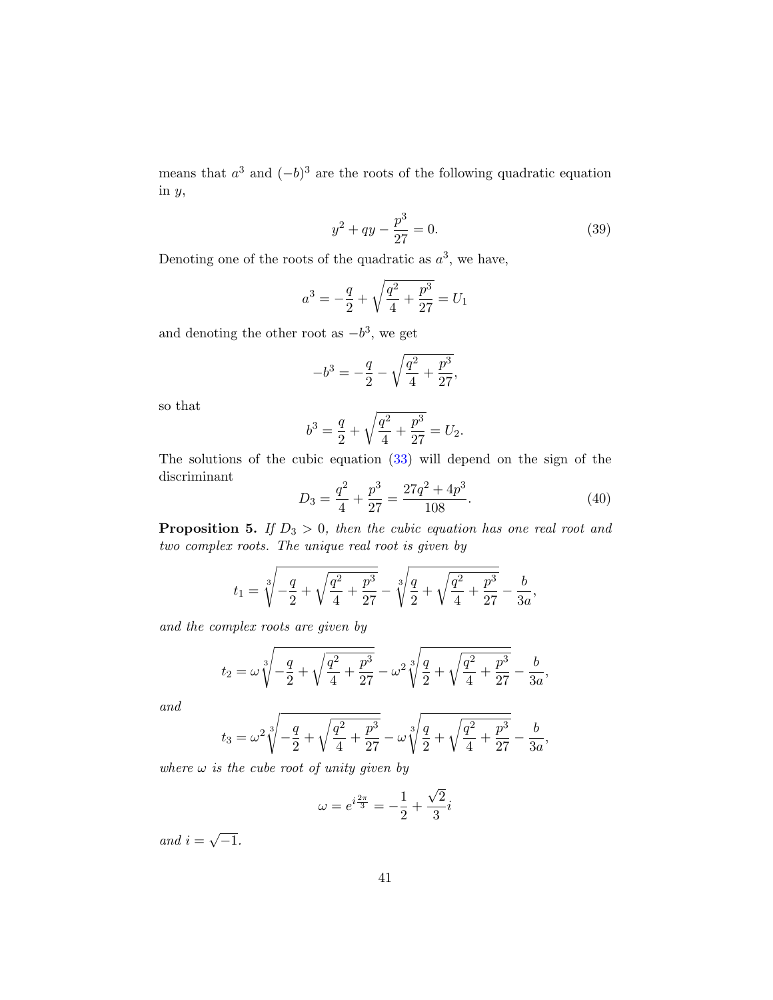means that  $a^3$  and  $(-b)^3$  are the roots of the following quadratic equation in y,

$$
y^2 + qy - \frac{p^3}{27} = 0.
$$
 (39)

Denoting one of the roots of the quadratic as  $a^3$ , we have,

$$
a^3 = -\frac{q}{2} + \sqrt{\frac{q^2}{4} + \frac{p^3}{27}} = U_1
$$

and denoting the other root as  $-b^3$ , we get

$$
-b^3 = -\frac{q}{2} - \sqrt{\frac{q^2}{4} + \frac{p^3}{27}},
$$

so that

$$
b^3 = \frac{q}{2} + \sqrt{\frac{q^2}{4} + \frac{p^3}{27}} = U_2.
$$

The solutions of the cubic equation [\(33\)](#page-40-4) will depend on the sign of the discriminant

$$
D_3 = \frac{q^2}{4} + \frac{p^3}{27} = \frac{27q^2 + 4p^3}{108}.
$$
\n(40)

**Proposition 5.** If  $D_3 > 0$ , then the cubic equation has one real root and two complex roots. The unique real root is given by

$$
t_1 = \sqrt[3]{-\frac{q}{2} + \sqrt{\frac{q^2}{4} + \frac{p^3}{27}}} - \sqrt[3]{\frac{q}{2} + \sqrt{\frac{q^2}{4} + \frac{p^3}{27}}} - \frac{b}{3a},
$$

and the complex roots are given by

$$
t_2 = \omega \sqrt[3]{-\frac{q}{2} + \sqrt{\frac{q^2}{4} + \frac{p^3}{27}}} - \omega^2 \sqrt[3]{\frac{q}{2} + \sqrt{\frac{q^2}{4} + \frac{p^3}{27}}} - \frac{b}{3a},
$$

and

$$
t_3=\omega^2\sqrt[3]{-\frac{q}{2}+\sqrt{\frac{q^2}{4}+\frac{p^3}{27}}}-\omega\sqrt[3]{\frac{q}{2}+\sqrt{\frac{q^2}{4}+\frac{p^3}{27}}}-\frac{b}{3a},
$$

where  $\omega$  is the cube root of unity given by

$$
\omega = e^{i\frac{2\pi}{3}} = -\frac{1}{2} + \frac{\sqrt{2}}{3}i
$$

and  $i =$ √  $\overline{-1}$ .